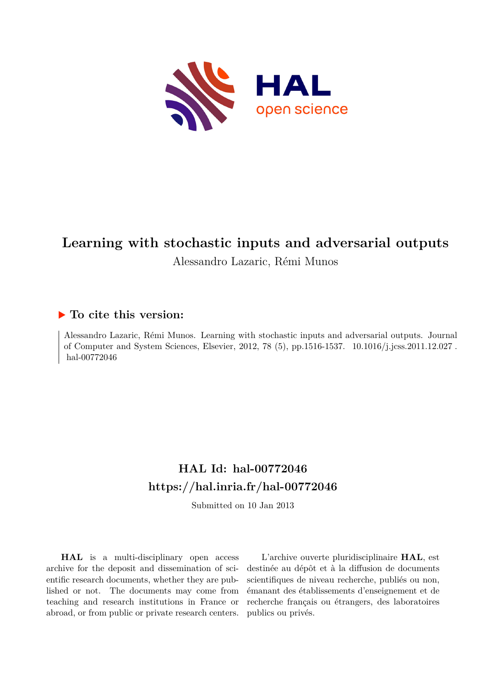

# **Learning with stochastic inputs and adversarial outputs**

Alessandro Lazaric, Rémi Munos

# **To cite this version:**

Alessandro Lazaric, Rémi Munos. Learning with stochastic inputs and adversarial outputs. Journal of Computer and System Sciences, Elsevier, 2012, 78 (5), pp.1516-1537. 10.1016/j.jcss.2011.12.027. hal-00772046

# **HAL Id: hal-00772046 <https://hal.inria.fr/hal-00772046>**

Submitted on 10 Jan 2013

**HAL** is a multi-disciplinary open access archive for the deposit and dissemination of scientific research documents, whether they are published or not. The documents may come from teaching and research institutions in France or abroad, or from public or private research centers.

L'archive ouverte pluridisciplinaire **HAL**, est destinée au dépôt et à la diffusion de documents scientifiques de niveau recherche, publiés ou non, émanant des établissements d'enseignement et de recherche français ou étrangers, des laboratoires publics ou privés.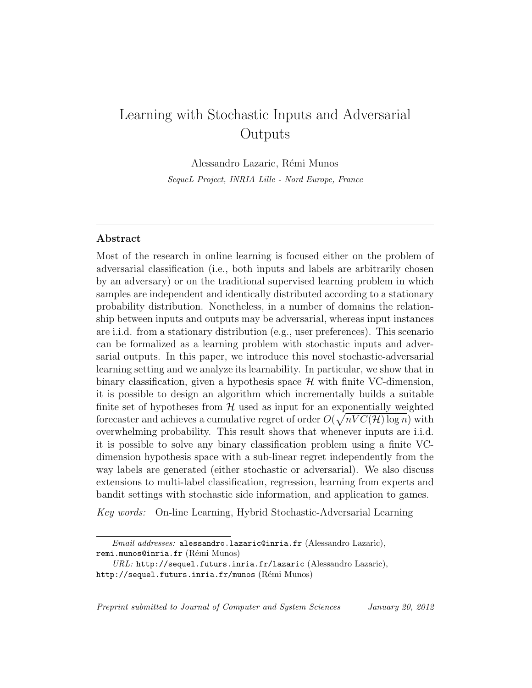# Learning with Stochastic Inputs and Adversarial Outputs

Alessandro Lazaric, Rémi Munos SequeL Project, INRIA Lille - Nord Europe, France

# Abstract

Most of the research in online learning is focused either on the problem of adversarial classification (i.e., both inputs and labels are arbitrarily chosen by an adversary) or on the traditional supervised learning problem in which samples are independent and identically distributed according to a stationary probability distribution. Nonetheless, in a number of domains the relationship between inputs and outputs may be adversarial, whereas input instances are i.i.d. from a stationary distribution (e.g., user preferences). This scenario can be formalized as a learning problem with stochastic inputs and adversarial outputs. In this paper, we introduce this novel stochastic-adversarial learning setting and we analyze its learnability. In particular, we show that in binary classification, given a hypothesis space  $\mathcal H$  with finite VC-dimension, it is possible to design an algorithm which incrementally builds a suitable finite set of hypotheses from  $H$  used as input for an exponentially weighted forecaster and achieves a cumulative regret of order  $O(\sqrt{nVC(\mathcal{H})\log n})$  with overwhelming probability. This result shows that whenever inputs are i.i.d. it is possible to solve any binary classification problem using a finite VCdimension hypothesis space with a sub-linear regret independently from the way labels are generated (either stochastic or adversarial). We also discuss extensions to multi-label classification, regression, learning from experts and bandit settings with stochastic side information, and application to games.

Key words: On-line Learning, Hybrid Stochastic-Adversarial Learning

Email addresses: alessandro.lazaric@inria.fr (Alessandro Lazaric), remi.munos@inria.fr (Rémi Munos)

URL: http://sequel.futurs.inria.fr/lazaric (Alessandro Lazaric), http://sequel.futurs.inria.fr/munos (Rémi Munos)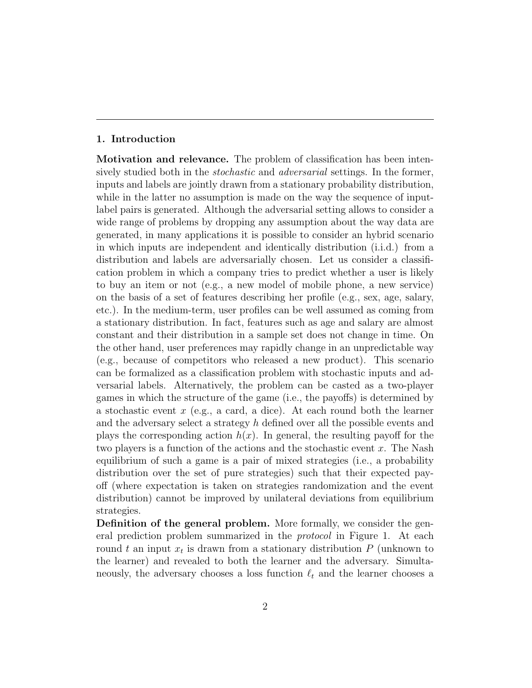#### 1. Introduction

Motivation and relevance. The problem of classification has been intensively studied both in the *stochastic* and *adversarial* settings. In the former, inputs and labels are jointly drawn from a stationary probability distribution, while in the latter no assumption is made on the way the sequence of inputlabel pairs is generated. Although the adversarial setting allows to consider a wide range of problems by dropping any assumption about the way data are generated, in many applications it is possible to consider an hybrid scenario in which inputs are independent and identically distribution (i.i.d.) from a distribution and labels are adversarially chosen. Let us consider a classification problem in which a company tries to predict whether a user is likely to buy an item or not (e.g., a new model of mobile phone, a new service) on the basis of a set of features describing her profile (e.g., sex, age, salary, etc.). In the medium-term, user profiles can be well assumed as coming from a stationary distribution. In fact, features such as age and salary are almost constant and their distribution in a sample set does not change in time. On the other hand, user preferences may rapidly change in an unpredictable way (e.g., because of competitors who released a new product). This scenario can be formalized as a classification problem with stochastic inputs and adversarial labels. Alternatively, the problem can be casted as a two-player games in which the structure of the game (i.e., the payoffs) is determined by a stochastic event  $x$  (e.g., a card, a dice). At each round both the learner and the adversary select a strategy h defined over all the possible events and plays the corresponding action  $h(x)$ . In general, the resulting payoff for the two players is a function of the actions and the stochastic event x. The Nash equilibrium of such a game is a pair of mixed strategies (i.e., a probability distribution over the set of pure strategies) such that their expected payoff (where expectation is taken on strategies randomization and the event distribution) cannot be improved by unilateral deviations from equilibrium strategies.

Definition of the general problem. More formally, we consider the general prediction problem summarized in the protocol in Figure 1. At each round t an input  $x_t$  is drawn from a stationary distribution  $P$  (unknown to the learner) and revealed to both the learner and the adversary. Simultaneously, the adversary chooses a loss function  $\ell_t$  and the learner chooses a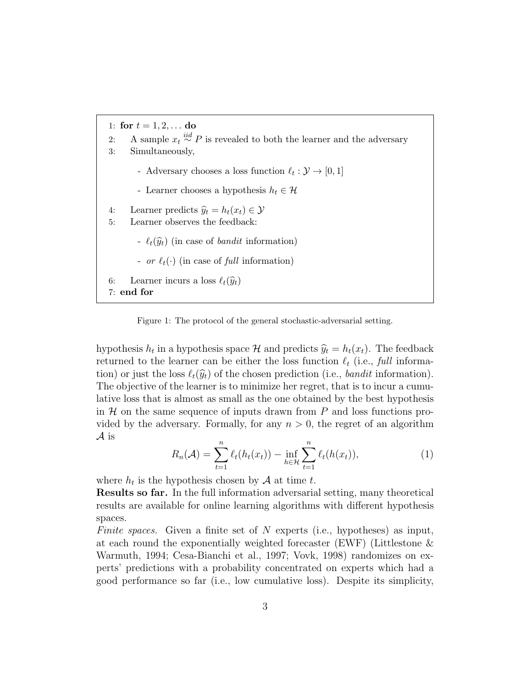1: for  $t = 1, 2, ...$  do 2: A sample  $x_t \stackrel{iid}{\sim} P$  is revealed to both the learner and the adversary 3: Simultaneously, - Adversary chooses a loss function  $\ell_t : \mathcal{Y} \to [0, 1]$ - Learner chooses a hypothesis  $h_t \in \mathcal{H}$ 4: Learner predicts  $\hat{y}_t = h_t(x_t) \in \mathcal{Y}$ <br>5: Learner observes the feedback: Learner observes the feedback: -  $\ell_t(\widehat{y}_t)$  (in case of *bandit* information) - or  $\ell_t(\cdot)$  (in case of full information) 6: Learner incurs a loss  $\ell_t(\widehat{y}_t)$ 7: end for

Figure 1: The protocol of the general stochastic-adversarial setting.

hypothesis  $h_t$  in a hypothesis space  $\mathcal{H}$  and predicts  $\hat{y}_t = h_t(x_t)$ . The feedback returned to the learner can be either the loss function  $\ell_t$  (i.e., full information) or just the loss  $\ell_t(\widehat{y}_t)$  of the chosen prediction (i.e., bandit information). The objective of the learner is to minimize her regret, that is to incur a cumulative loss that is almost as small as the one obtained by the best hypothesis in  $\mathcal H$  on the same sequence of inputs drawn from  $P$  and loss functions provided by the adversary. Formally, for any  $n > 0$ , the regret of an algorithm A is

$$
R_n(\mathcal{A}) = \sum_{t=1}^n \ell_t(h_t(x_t)) - \inf_{h \in \mathcal{H}} \sum_{t=1}^n \ell_t(h(x_t)),
$$
\n(1)

where  $h_t$  is the hypothesis chosen by  $A$  at time t.

Results so far. In the full information adversarial setting, many theoretical results are available for online learning algorithms with different hypothesis spaces.

Finite spaces. Given a finite set of N experts (i.e., hypotheses) as input, at each round the exponentially weighted forecaster (EWF) (Littlestone & Warmuth, 1994; Cesa-Bianchi et al., 1997; Vovk, 1998) randomizes on experts' predictions with a probability concentrated on experts which had a good performance so far (i.e., low cumulative loss). Despite its simplicity,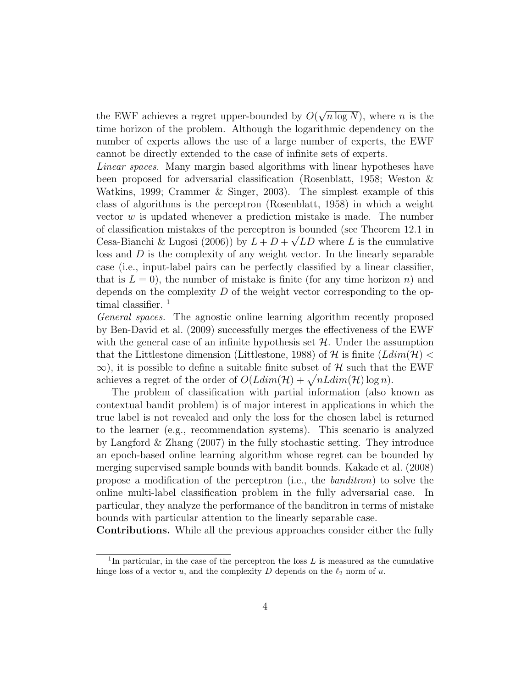the EWF achieves a regret upper-bounded by  $O(\sqrt{n \log N})$ , where n is the time horizon of the problem. Although the logarithmic dependency on the number of experts allows the use of a large number of experts, the EWF cannot be directly extended to the case of infinite sets of experts.

Linear spaces. Many margin based algorithms with linear hypotheses have been proposed for adversarial classification (Rosenblatt, 1958; Weston & Watkins, 1999; Crammer & Singer, 2003). The simplest example of this class of algorithms is the perceptron (Rosenblatt, 1958) in which a weight vector  $w$  is updated whenever a prediction mistake is made. The number of classification mistakes of the perceptron is bounded (see Theorem 12.1 in Cesa-Bianchi & Lugosi (2006)) by  $L + D + \sqrt{LD}$  where L is the cumulative loss and  $D$  is the complexity of any weight vector. In the linearly separable case (i.e., input-label pairs can be perfectly classified by a linear classifier, that is  $L = 0$ , the number of mistake is finite (for any time horizon n) and depends on the complexity  $D$  of the weight vector corresponding to the optimal classifier.<sup>1</sup>

General spaces. The agnostic online learning algorithm recently proposed by Ben-David et al. (2009) successfully merges the effectiveness of the EWF with the general case of an infinite hypothesis set  $H$ . Under the assumption that the Littlestone dimension (Littlestone, 1988) of H is finite  $(Ldim(\mathcal{H})$  $\infty$ ), it is possible to define a suitable finite subset of H such that the EWF achieves a regret of the order of  $O(Ldim(\mathcal{H}) + \sqrt{nLdim(\mathcal{H}) \log n})$ .

The problem of classification with partial information (also known as contextual bandit problem) is of major interest in applications in which the true label is not revealed and only the loss for the chosen label is returned to the learner (e.g., recommendation systems). This scenario is analyzed by Langford & Zhang (2007) in the fully stochastic setting. They introduce an epoch-based online learning algorithm whose regret can be bounded by merging supervised sample bounds with bandit bounds. Kakade et al. (2008) propose a modification of the perceptron (i.e., the banditron) to solve the online multi-label classification problem in the fully adversarial case. In particular, they analyze the performance of the banditron in terms of mistake bounds with particular attention to the linearly separable case.

Contributions. While all the previous approaches consider either the fully

<sup>&</sup>lt;sup>1</sup>In particular, in the case of the perceptron the loss  $L$  is measured as the cumulative hinge loss of a vector u, and the complexity D depends on the  $\ell_2$  norm of u.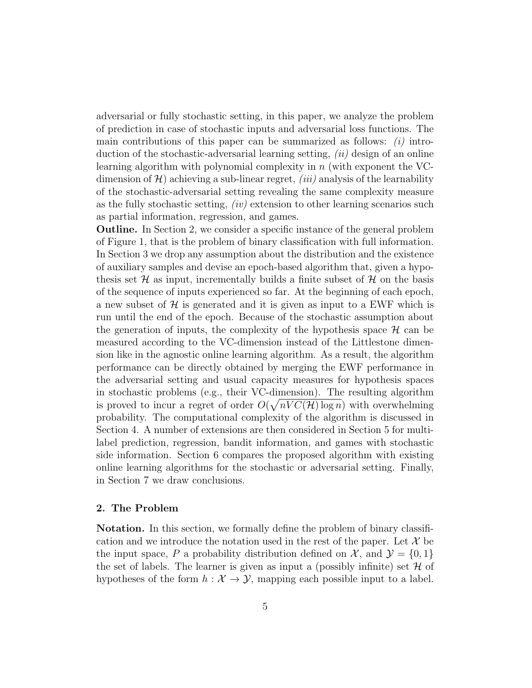adversarial or fully stochastic setting, in this paper, we analyze the problem of prediction in case of stochastic inputs and adversarial loss functions. The main contributions of this paper can be summarized as follows:  $(i)$  introduction of the stochastic-adversarial learning setting,  $(ii)$  design of an online learning algorithm with polynomial complexity in  $n$  (with exponent the VCdimension of  $\mathcal{H}$ ) achieving a sub-linear regret, *(iii)* analysis of the learnability of the stochastic-adversarial setting revealing the same complexity measure as the fully stochastic setting,  $(iv)$  extension to other learning scenarios such as partial information, regression, and games.

Outline. In Section 2, we consider a specific instance of the general problem of Figure 1, that is the problem of binary classification with full information. In Section 3 we drop any assumption about the distribution and the existence of auxiliary samples and devise an epoch-based algorithm that, given a hypothesis set  $\mathcal H$  as input, incrementally builds a finite subset of  $\mathcal H$  on the basis of the sequence of inputs experienced so far. At the beginning of each epoch, a new subset of  $\mathcal H$  is generated and it is given as input to a EWF which is run until the end of the epoch. Because of the stochastic assumption about the generation of inputs, the complexity of the hypothesis space  $\mathcal H$  can be measured according to the VC-dimension instead of the Littlestone dimension like in the agnostic online learning algorithm. As a result, the algorithm performance can be directly obtained by merging the EWF performance in the adversarial setting and usual capacity measures for hypothesis spaces in stochastic problems (e.g., their VC-dimension). The resulting algorithm is proved to incur a regret of order  $O(\sqrt{nVC(\mathcal{H})\log n})$  with overwhelming probability. The computational complexity of the algorithm is discussed in Section 4. A number of extensions are then considered in Section 5 for multilabel prediction, regression, bandit information, and games with stochastic side information. Section 6 compares the proposed algorithm with existing online learning algorithms for the stochastic or adversarial setting. Finally, in Section 7 we draw conclusions.

### 2. The Problem

Notation. In this section, we formally define the problem of binary classification and we introduce the notation used in the rest of the paper. Let  $\mathcal X$  be the input space, P a probability distribution defined on X, and  $\mathcal{Y} = \{0, 1\}$ the set of labels. The learner is given as input a (possibly infinite) set  $\mathcal H$  of hypotheses of the form  $h : \mathcal{X} \to \mathcal{Y}$ , mapping each possible input to a label.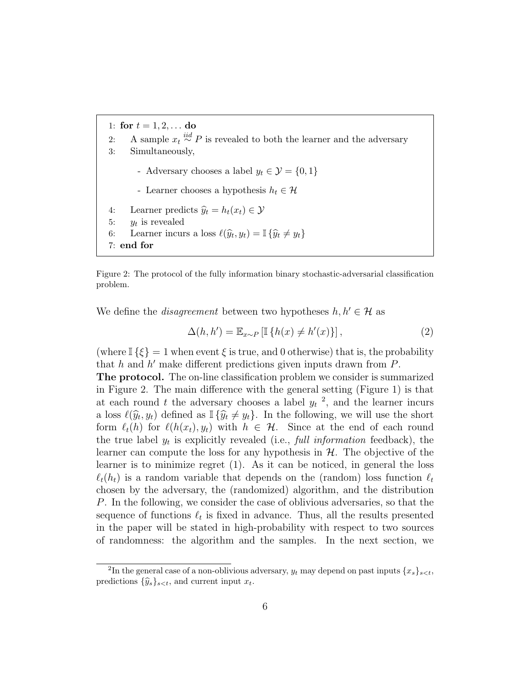1: for  $t = 1, 2, ...$  do 2: A sample  $x_t \stackrel{iid}{\sim} P$  is revealed to both the learner and the adversary 3: Simultaneously, - Adversary chooses a label  $y_t \in \mathcal{Y} = \{0, 1\}$ - Learner chooses a hypothesis  $h_t \in \mathcal{H}$ 4: Learner predicts  $\hat{y}_t = h_t(x_t) \in \mathcal{Y}$ <br>5:  $y_t$  is revealed 5:  $y_t$  is revealed 6: Learner incurs a loss  $\ell(\widehat{y}_t, y_t) = \mathbb{I} \{\widehat{y}_t \neq y_t\}$ 7: end for

Figure 2: The protocol of the fully information binary stochastic-adversarial classification problem.

We define the *disagreement* between two hypotheses  $h, h' \in \mathcal{H}$  as

$$
\Delta(h, h') = \mathbb{E}_{x \sim P} \left[ \mathbb{I} \left\{ h(x) \neq h'(x) \right\} \right],\tag{2}
$$

(where  $\mathbb{I}\{\xi\} = 1$  when event  $\xi$  is true, and 0 otherwise) that is, the probability that  $h$  and  $h'$  make different predictions given inputs drawn from  $P$ .

The protocol. The on-line classification problem we consider is summarized in Figure 2. The main difference with the general setting (Figure 1) is that at each round t the adversary chooses a label  $y_t$ <sup>2</sup>, and the learner incurs a loss  $\ell(\hat{y}_t, y_t)$  defined as  $\mathbb{I}\{\hat{y}_t \neq y_t\}$ . In the following, we will use the short<br>form  $\ell(b)$  for  $\ell(b(x), y)$  with  $b \in \mathcal{U}$ . Since at the ord of each round form  $\ell_t(h)$  for  $\ell(h(x_t), y_t)$  with  $h \in \mathcal{H}$ . Since at the end of each round the true label  $y_t$  is explicitly revealed (i.e., full information feedback), the learner can compute the loss for any hypothesis in  $H$ . The objective of the learner is to minimize regret (1). As it can be noticed, in general the loss  $\ell_t(h_t)$  is a random variable that depends on the (random) loss function  $\ell_t$ chosen by the adversary, the (randomized) algorithm, and the distribution P. In the following, we consider the case of oblivious adversaries, so that the sequence of functions  $\ell_t$  is fixed in advance. Thus, all the results presented in the paper will be stated in high-probability with respect to two sources of randomness: the algorithm and the samples. In the next section, we

<sup>&</sup>lt;sup>2</sup>In the general case of a non-oblivious adversary,  $y_t$  may depend on past inputs  $\{x_s\}_{s < t}$ , predictions  $\{\widehat{y}_s\}_{s \leq t}$ , and current input  $x_t$ .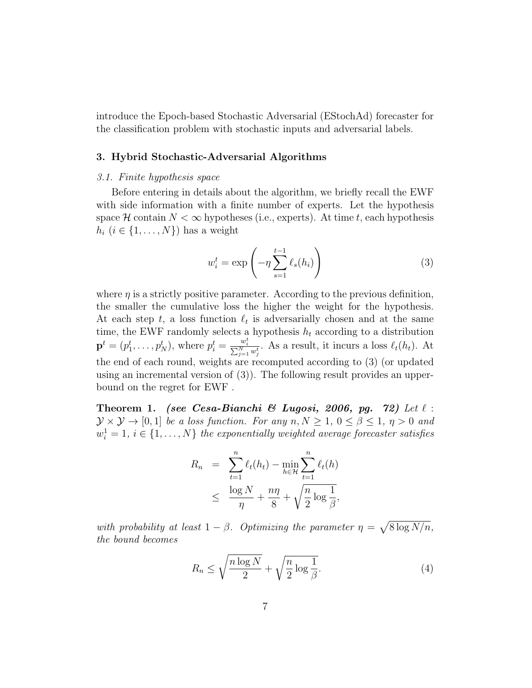introduce the Epoch-based Stochastic Adversarial (EStochAd) forecaster for the classification problem with stochastic inputs and adversarial labels.

# 3. Hybrid Stochastic-Adversarial Algorithms

#### 3.1. Finite hypothesis space

Before entering in details about the algorithm, we briefly recall the EWF with side information with a finite number of experts. Let the hypothesis space H contain  $N < \infty$  hypotheses (i.e., experts). At time t, each hypothesis  $h_i$   $(i \in \{1, \ldots, N\})$  has a weight

$$
w_i^t = \exp\left(-\eta \sum_{s=1}^{t-1} \ell_s(h_i)\right) \tag{3}
$$

where  $\eta$  is a strictly positive parameter. According to the previous definition, the smaller the cumulative loss the higher the weight for the hypothesis. At each step t, a loss function  $\ell_t$  is adversarially chosen and at the same time, the EWF randomly selects a hypothesis  $h_t$  according to a distribution  $\mathbf{p}^t = (p_1^t, \ldots, p_N^t)$ , where  $p_i^t = \frac{w_i^t}{\sum_{j=1}^N w_j^t}$ . As a result, it incurs a loss  $\ell_t(h_t)$ . At the end of each round, weights are recomputed according to (3) (or updated using an incremental version of (3)). The following result provides an upperbound on the regret for EWF .

Theorem 1. (see Cesa-Bianchi & Lugosi, 2006, pg. 72) Let  $\ell$ :  $\mathcal{Y} \times \mathcal{Y} \rightarrow [0, 1]$  be a loss function. For any  $n, N \geq 1, 0 \leq \beta \leq 1, \eta > 0$  and  $w_i^1 = 1, i \in \{1, \ldots, N\}$  the exponentially weighted average forecaster satisfies

$$
R_n = \sum_{t=1}^n \ell_t(h_t) - \min_{h \in \mathcal{H}} \sum_{t=1}^n \ell_t(h)
$$
  

$$
\leq \frac{\log N}{\eta} + \frac{n\eta}{8} + \sqrt{\frac{n}{2} \log \frac{1}{\beta}},
$$

with probability at least  $1 - \beta$ . Optimizing the parameter  $\eta = \sqrt{8 \log N/n}$ , the bound becomes

$$
R_n \le \sqrt{\frac{n \log N}{2}} + \sqrt{\frac{n}{2} \log \frac{1}{\beta}}.\tag{4}
$$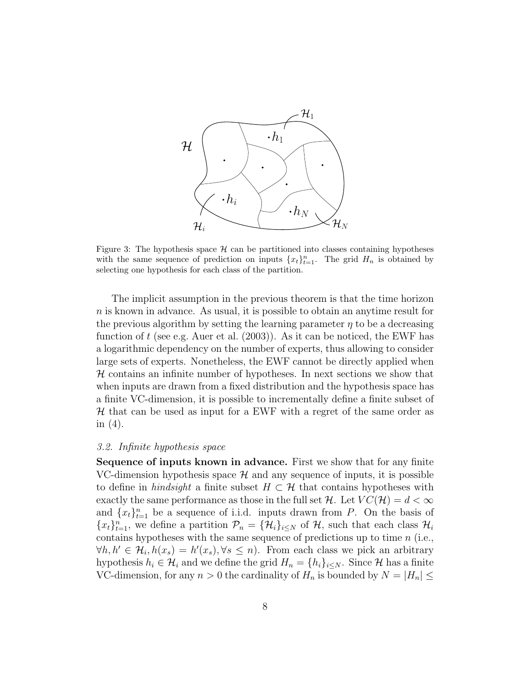

Figure 3: The hypothesis space  $\mathcal H$  can be partitioned into classes containing hypotheses with the same sequence of prediction on inputs  $\{x_t\}_{t=1}^n$ . The grid  $H_n$  is obtained by selecting one hypothesis for each class of the partition.

The implicit assumption in the previous theorem is that the time horizon n is known in advance. As usual, it is possible to obtain an anytime result for the previous algorithm by setting the learning parameter  $\eta$  to be a decreasing function of t (see e.g. Auer et al.  $(2003)$ ). As it can be noticed, the EWF has a logarithmic dependency on the number of experts, thus allowing to consider large sets of experts. Nonetheless, the EWF cannot be directly applied when  $H$  contains an infinite number of hypotheses. In next sections we show that when inputs are drawn from a fixed distribution and the hypothesis space has a finite VC-dimension, it is possible to incrementally define a finite subset of  $H$  that can be used as input for a EWF with a regret of the same order as in (4).

#### 3.2. Infinite hypothesis space

Sequence of inputs known in advance. First we show that for any finite VC-dimension hypothesis space  $\mathcal H$  and any sequence of inputs, it is possible to define in hindsight a finite subset  $H \subset \mathcal{H}$  that contains hypotheses with exactly the same performance as those in the full set H. Let  $VC(\mathcal{H}) = d < \infty$ and  $\{x_t\}_{t=1}^n$  be a sequence of i.i.d. inputs drawn from P. On the basis of  ${x_t}_{t=1}^n$ , we define a partition  $\mathcal{P}_n = {\mathcal{H}_i}_{i \leq N}$  of  $\mathcal{H}$ , such that each class  $\mathcal{H}_i$ contains hypotheses with the same sequence of predictions up to time n (i.e.,  $\forall h, h' \in \mathcal{H}_i, h(x_s) = h'(x_s), \forall s \leq n$ . From each class we pick an arbitrary hypothesis  $h_i \in \mathcal{H}_i$  and we define the grid  $H_n = \{h_i\}_{i \leq N}$ . Since H has a finite VC-dimension, for any  $n > 0$  the cardinality of  $H_n$  is bounded by  $N = |H_n| \leq$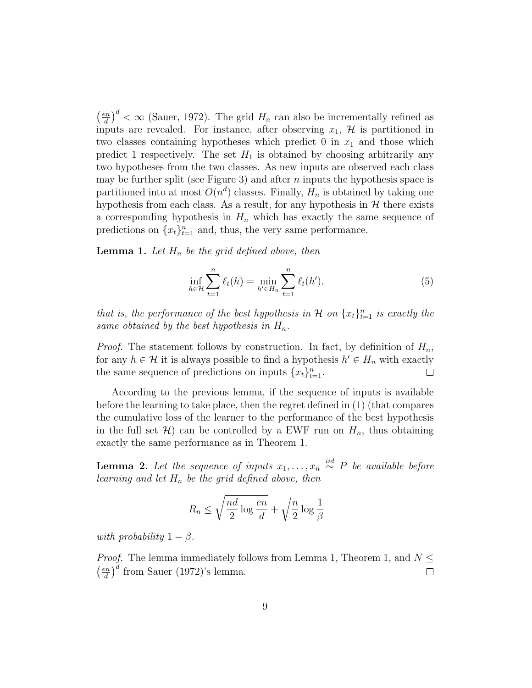$\left(\frac{en}{1}\right)$  $\left(\frac{dn}{d}\right)^d < \infty$  (Sauer, 1972). The grid  $H_n$  can also be incrementally refined as inputs are revealed. For instance, after observing  $x_1$ ,  $\mathcal H$  is partitioned in two classes containing hypotheses which predict 0 in  $x_1$  and those which predict 1 respectively. The set  $H_1$  is obtained by choosing arbitrarily any two hypotheses from the two classes. As new inputs are observed each class may be further split (see Figure 3) and after n inputs the hypothesis space is partitioned into at most  $O(n^d)$  classes. Finally,  $H_n$  is obtained by taking one hypothesis from each class. As a result, for any hypothesis in  $H$  there exists a corresponding hypothesis in  $H_n$  which has exactly the same sequence of predictions on  $\{x_t\}_{t=1}^n$  and, thus, the very same performance.

**Lemma 1.** Let  $H_n$  be the grid defined above, then

$$
\inf_{h \in \mathcal{H}} \sum_{t=1}^{n} \ell_t(h) = \min_{h' \in H_n} \sum_{t=1}^{n} \ell_t(h'),\tag{5}
$$

that is, the performance of the best hypothesis in  $\mathcal H$  on  $\{x_t\}_{t=1}^n$  is exactly the same obtained by the best hypothesis in  $H_n$ .

*Proof.* The statement follows by construction. In fact, by definition of  $H_n$ , for any  $h \in \mathcal{H}$  it is always possible to find a hypothesis  $h' \in H_n$  with exactly the same sequence of predictions on inputs  $\{x_t\}_{t=1}^n$ .

According to the previous lemma, if the sequence of inputs is available before the learning to take place, then the regret defined in (1) (that compares the cumulative loss of the learner to the performance of the best hypothesis in the full set  $\mathcal{H}$ ) can be controlled by a EWF run on  $H_n$ , thus obtaining exactly the same performance as in Theorem 1.

**Lemma 2.** Let the sequence of inputs  $x_1, \ldots, x_n \stackrel{iid}{\sim} P$  be available before learning and let  $H_n$  be the grid defined above, then

$$
R_n \le \sqrt{\frac{nd}{2} \log \frac{en}{d}} + \sqrt{\frac{n}{2} \log \frac{1}{\beta}}
$$

with probability  $1 - \beta$ .

*Proof.* The lemma immediately follows from Lemma 1, Theorem 1, and  $N \leq$  $\left(\frac{en}{d}\right)^d$  from Sauer (1972)'s lemma.  $\left(\frac{en}{l}\right)$  $\Box$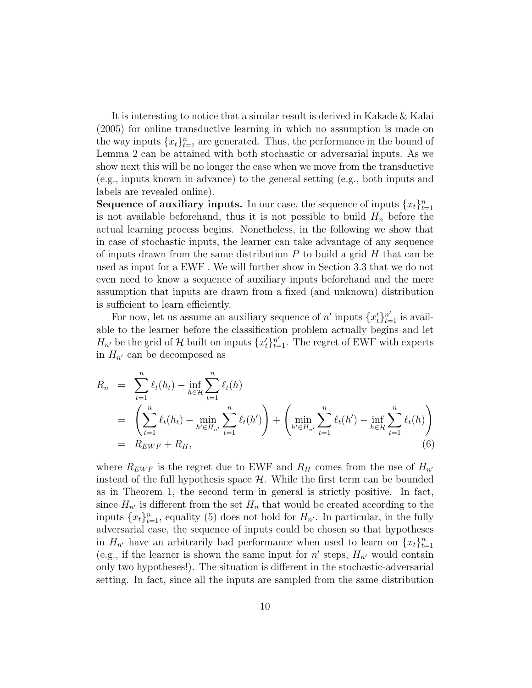It is interesting to notice that a similar result is derived in Kakade & Kalai (2005) for online transductive learning in which no assumption is made on the way inputs  $\{x_t\}_{t=1}^n$  are generated. Thus, the performance in the bound of Lemma 2 can be attained with both stochastic or adversarial inputs. As we show next this will be no longer the case when we move from the transductive (e.g., inputs known in advance) to the general setting (e.g., both inputs and labels are revealed online).

**Sequence of auxiliary inputs.** In our case, the sequence of inputs  $\{x_t\}_{t=1}^n$ is not available beforehand, thus it is not possible to build  $H_n$  before the actual learning process begins. Nonetheless, in the following we show that in case of stochastic inputs, the learner can take advantage of any sequence of inputs drawn from the same distribution  $P$  to build a grid  $H$  that can be used as input for a EWF . We will further show in Section 3.3 that we do not even need to know a sequence of auxiliary inputs beforehand and the mere assumption that inputs are drawn from a fixed (and unknown) distribution is sufficient to learn efficiently.

For now, let us assume an auxiliary sequence of  $n'$  inputs  $\{x'_{t}\}_{t=1}^{n'}$  is available to the learner before the classification problem actually begins and let  $H_{n'}$  be the grid of H built on inputs  $\{x_t'\}_{t=1}^{n'}$ . The regret of EWF with experts in  $H_{n'}$  can be decomposed as

$$
R_n = \sum_{t=1}^n \ell_t(h_t) - \inf_{h \in \mathcal{H}} \sum_{t=1}^n \ell_t(h)
$$
  
= 
$$
\left( \sum_{t=1}^n \ell_t(h_t) - \min_{h' \in H_{n'}} \sum_{t=1}^n \ell_t(h') \right) + \left( \min_{h' \in H_{n'}} \sum_{t=1}^n \ell_t(h') - \inf_{h \in \mathcal{H}} \sum_{t=1}^n \ell_t(h) \right)
$$
  
= 
$$
R_{EWF} + R_H,
$$
 (6)

where  $R_{EWF}$  is the regret due to EWF and  $R_H$  comes from the use of  $H_{n'}$ instead of the full hypothesis space  $\mathcal{H}$ . While the first term can be bounded as in Theorem 1, the second term in general is strictly positive. In fact, since  $H_{n'}$  is different from the set  $H_n$  that would be created according to the inputs  $\{x_t\}_{t=1}^n$ , equality (5) does not hold for  $H_{n'}$ . In particular, in the fully adversarial case, the sequence of inputs could be chosen so that hypotheses in  $H_{n'}$  have an arbitrarily bad performance when used to learn on  $\{x_t\}_{t=1}^n$ (e.g., if the learner is shown the same input for  $n'$  steps,  $H_{n'}$  would contain only two hypotheses!). The situation is different in the stochastic-adversarial setting. In fact, since all the inputs are sampled from the same distribution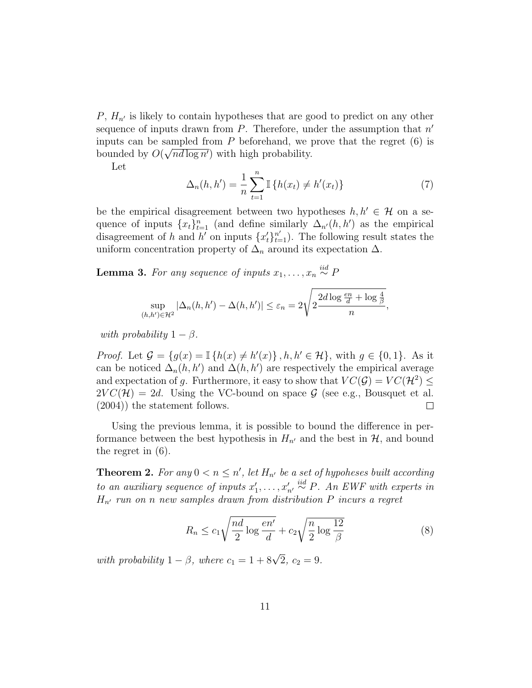$P, H_{n'}$  is likely to contain hypotheses that are good to predict on any other sequence of inputs drawn from  $P$ . Therefore, under the assumption that  $n'$ inputs can be sampled from  $P$  beforehand, we prove that the regret  $(6)$  is bounded by  $O(\sqrt{nd \log n'})$  with high probability.

Let

$$
\Delta_n(h, h') = \frac{1}{n} \sum_{t=1}^n \mathbb{I} \{ h(x_t) \neq h'(x_t) \}
$$
 (7)

be the empirical disagreement between two hypotheses  $h, h' \in \mathcal{H}$  on a sequence of inputs  $\{x_t\}_{t=1}^n$  (and define similarly  $\Delta_{n'}(h, h')$  as the empirical disagreement of h and h<sup>'</sup> on inputs  $\{x_t'\}_{t=1}^{n'}$ ). The following result states the uniform concentration property of  $\Delta_n$  around its expectation  $\Delta$ .

**Lemma 3.** For any sequence of inputs  $x_1, \ldots, x_n \stackrel{iid}{\sim} P$ 

$$
\sup_{(h,h')\in\mathcal{H}^2} |\Delta_n(h,h') - \Delta(h,h')| \leq \varepsilon_n = 2\sqrt{2\frac{2d\log\frac{en}{d} + \log\frac{4}{\beta}}{n}},
$$

with probability  $1 - \beta$ .

*Proof.* Let  $\mathcal{G} = \{g(x) = \mathbb{I} \{h(x) \neq h'(x)\}\$ ,  $h, h' \in \mathcal{H}\}$ , with  $g \in \{0, 1\}$ . As it can be noticed  $\Delta_n(h, h')$  and  $\Delta(h, h')$  are respectively the empirical average and expectation of g. Furthermore, it easy to show that  $VC(\mathcal{G}) = VC(\mathcal{H}^2) \le$  $2VC(\mathcal{H}) = 2d$ . Using the VC-bound on space  $\mathcal{G}$  (see e.g., Bousquet et al. (2004)) the statement follows. (2004)) the statement follows.

Using the previous lemma, it is possible to bound the difference in performance between the best hypothesis in  $H_{n'}$  and the best in  $\mathcal{H}$ , and bound the regret in (6).

**Theorem 2.** For any  $0 < n \leq n'$ , let  $H_{n'}$  be a set of hypoheses built according to an auxiliary sequence of inputs  $x'_1, \ldots, x'_{n'} \stackrel{iid}{\sim} P$ . An EWF with experts in  $H_{n'}$  run on n new samples drawn from distribution P incurs a regret

$$
R_n \le c_1 \sqrt{\frac{nd}{2} \log \frac{en'}{d}} + c_2 \sqrt{\frac{n}{2} \log \frac{12}{\beta}}
$$
 (8)

with probability  $1 - \beta$ , where  $c_1 = 1 + 8\sqrt{2}$ ,  $c_2 = 9$ .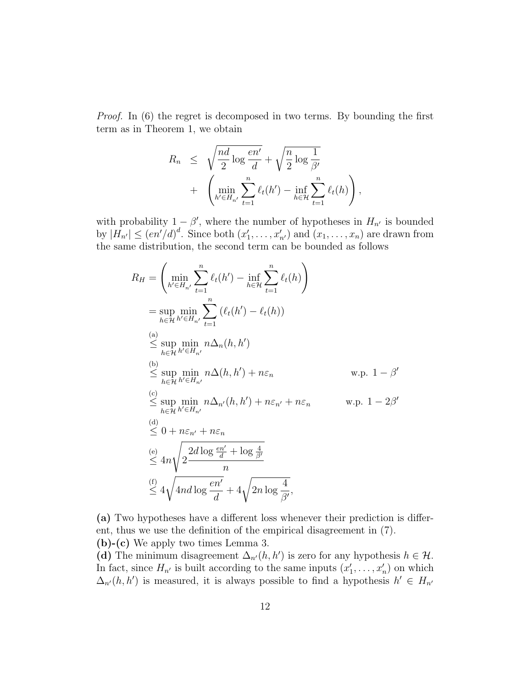Proof. In (6) the regret is decomposed in two terms. By bounding the first term as in Theorem 1, we obtain

$$
R_n \leq \sqrt{\frac{nd}{2} \log \frac{en'}{d}} + \sqrt{\frac{n}{2} \log \frac{1}{\beta'}} + \left(\min_{h' \in H_{n'}} \sum_{t=1}^n \ell_t(h') - \inf_{h \in \mathcal{H}} \sum_{t=1}^n \ell_t(h)\right),
$$

with probability  $1 - \beta'$ , where the number of hypotheses in  $H_{n'}$  is bounded by  $|H_{n'}| \leq (en'/d)^d$ . Since both  $(x'_1, \ldots, x'_{n'})$  and  $(x_1, \ldots, x_n)$  are drawn from the same distribution, the second term can be bounded as follows

$$
R_H = \left(\min_{h' \in H_{n'}} \sum_{t=1}^n \ell_t(h') - \inf_{h \in \mathcal{H}} \sum_{t=1}^n \ell_t(h)\right)
$$
  
\n
$$
= \sup_{h \in \mathcal{H}} \min_{h' \in H_{n'}} \sum_{t=1}^n (\ell_t(h') - \ell_t(h))
$$
  
\n(a)  
\n(a)  
\n
$$
\leq \sup_{h \in \mathcal{H}} \min_{h' \in H_{n'}} n\Delta_n(h, h')
$$
  
\n(b)  
\n
$$
\leq \sup_{h \in \mathcal{H}} \min_{h' \in H_{n'}} n\Delta(h, h') + n\varepsilon_n \qquad \text{w.p. } 1 - \beta'
$$
  
\n(c)  
\n
$$
\leq \sup_{h \in \mathcal{H}} \min_{h' \in H_{n'}} n\Delta_{n'}(h, h') + n\varepsilon_{n'} + n\varepsilon_n \qquad \text{w.p. } 1 - 2\beta'
$$
  
\n(d)  
\n
$$
\leq 0 + n\varepsilon_{n'} + n\varepsilon_n
$$
  
\n(e)  
\n
$$
\leq 4n\sqrt{2\frac{2d\log\frac{en'}{d} + \log\frac{4}{\beta'}}{n}}
$$
  
\n(f)  
\n
$$
\leq 4\sqrt{4nd\log\frac{en'}{d}} + 4\sqrt{2n\log\frac{4}{\beta'}},
$$

(a) Two hypotheses have a different loss whenever their prediction is different, thus we use the definition of the empirical disagreement in (7).

(b)-(c) We apply two times Lemma 3. (d) The minimum disagreement  $\Delta_{n'}(h, h')$  is zero for any hypothesis  $h \in \mathcal{H}$ .

In fact, since  $H_{n'}$  is built according to the same inputs  $(x'_1, \ldots, x'_n)$  on which  $\Delta_{n'}(h, h')$  is measured, it is always possible to find a hypothesis  $h' \in H_{n'}$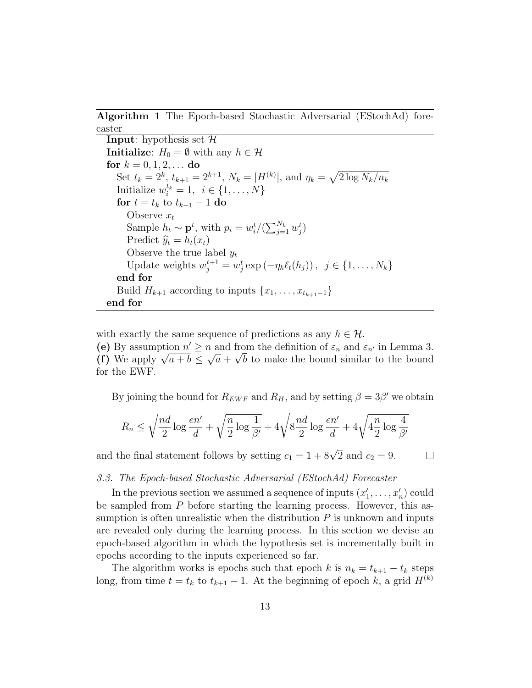Algorithm 1 The Epoch-based Stochastic Adversarial (EStochAd) forecaster

**Input:** hypothesis set  $H$ **Initialize:**  $H_0 = \emptyset$  with any  $h \in \mathcal{H}$ for  $k = 0, 1, 2, ...$  do Set  $t_k = 2^k$ ,  $t_{k+1} = 2^{k+1}$ ,  $N_k = |H^{(k)}|$ , and  $\eta_k = \sqrt{2 \log N_k/n_k}$ Initialize  $w_i^{t_k} = 1, i \in \{1, \ldots, N\}$ for  $t = t_k$  to  $t_{k+1} - 1$  do Observe  $x_t$ Sample  $h_t \sim \mathbf{p}^t$ , with  $p_i = w_i^t/(\sum_{j=1}^{N_k} w_j^t)$ Predict  $\hat{y}_t = h_t(x_t)$ Observe the true label  $y_t$ Update weights  $w_j^{t+1} = w_j^t \exp(-\eta_k \ell_t(h_j))$ ,  $j \in \{1, ..., N_k\}$ end for Build  $H_{k+1}$  according to inputs  $\{x_1, \ldots, x_{t_{k+1}-1}\}\$ end for

with exactly the same sequence of predictions as any  $h \in \mathcal{H}$ .

(e) By assumption  $n' \ge n$  and from the definition of  $\varepsilon_n$  and  $\varepsilon_{n'}$  in Lemma 3. (f) We apply  $\sqrt{a+b} \leq \sqrt{a} + \sqrt{b}$  to make the bound similar to the bound for the EWF.

By joining the bound for  $R_{EWF}$  and  $R_H$ , and by setting  $\beta = 3\beta'$  we obtain

$$
R_n \le \sqrt{\frac{nd}{2} \log \frac{en'}{d}} + \sqrt{\frac{n}{2} \log \frac{1}{\beta'}} + 4\sqrt{8\frac{nd}{2} \log \frac{en'}{d}} + 4\sqrt{4\frac{n}{2} \log \frac{4}{\beta'}}
$$

and the final statement follows by setting  $c_1 = 1 + 8\sqrt{2}$  and  $c_2 = 9$ .

 $\Box$ 

#### 3.3. The Epoch-based Stochastic Adversarial (EStochAd) Forecaster

In the previous section we assumed a sequence of inputs  $(x'_1, \ldots, x'_n)$  could be sampled from P before starting the learning process. However, this assumption is often unrealistic when the distribution  $P$  is unknown and inputs are revealed only during the learning process. In this section we devise an epoch-based algorithm in which the hypothesis set is incrementally built in epochs according to the inputs experienced so far.

The algorithm works is epochs such that epoch k is  $n_k = t_{k+1} - t_k$  steps long, from time  $t = t_k$  to  $t_{k+1} - 1$ . At the beginning of epoch k, a grid  $H^{(k)}$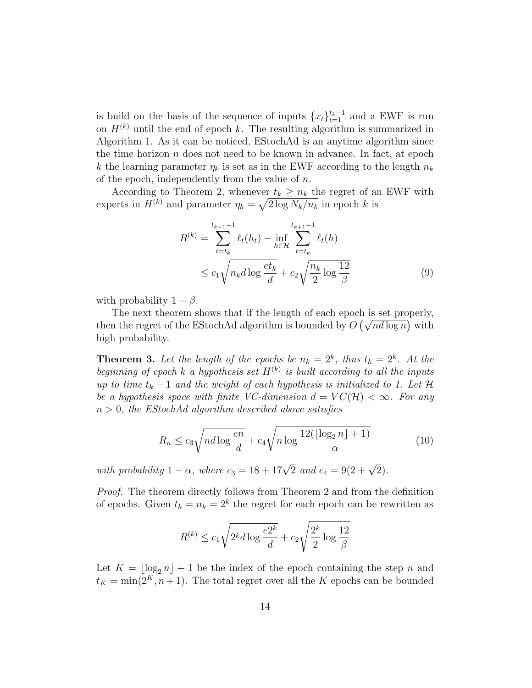is build on the basis of the sequence of inputs  $\{x_t\}_{t=1}^{t_k-1}$  and a EWF is run on  $H^{(k)}$  until the end of epoch k. The resulting algorithm is summarized in Algorithm 1. As it can be noticed, EStochAd is an anytime algorithm since the time horizon  $n$  does not need to be known in advance. In fact, at epoch k the learning parameter  $\eta_k$  is set as in the EWF according to the length  $n_k$ of the epoch, independently from the value of  $n$ .

According to Theorem 2, whenever  $t_k \geq n_k$  the regret of an EWF with experts in  $H^{(k)}$  and parameter  $\eta_k = \sqrt{2 \log N_k/n_k}$  in epoch k is

$$
R^{(k)} = \sum_{t=t_k}^{t_{k+1}-1} \ell_t(h_t) - \inf_{h \in \mathcal{H}} \sum_{t=t_k}^{t_{k+1}-1} \ell_t(h)
$$
  

$$
\leq c_1 \sqrt{n_k d \log \frac{et_k}{d}} + c_2 \sqrt{\frac{n_k}{2} \log \frac{12}{\beta}}
$$
(9)

with probability  $1 - \beta$ .

The next theorem shows that if the length of each epoch is set properly, then the regret of the EStochAd algorithm is bounded by  $O(\sqrt{nd \log n})$  with high probability.

**Theorem 3.** Let the length of the epochs be  $n_k = 2^k$ , thus  $t_k = 2^k$ . At the beginning of epoch k a hypothesis set  $H^{(k)}$  is built according to all the inputs up to time  $t_k - 1$  and the weight of each hypothesis is initialized to 1. Let H be a hypothesis space with finite VC-dimension  $d = VC(\mathcal{H}) < \infty$ . For any  $n > 0$ , the EStochAd algorithm described above satisfies

$$
R_n \le c_3 \sqrt{n d \log \frac{en}{d}} + c_4 \sqrt{n \log \frac{12(\lfloor \log_2 n \rfloor + 1)}{\alpha}} \tag{10}
$$

with probability  $1 - \alpha$ , where  $c_3 = 18 + 17\sqrt{2}$  and  $c_4 = 9(2 + \sqrt{2})$ .

Proof. The theorem directly follows from Theorem 2 and from the definition of epochs. Given  $t_k = n_k = 2^k$  the regret for each epoch can be rewritten as

$$
R^{(k)} \le c_1 \sqrt{2^k d \log \frac{e2^k}{d}} + c_2 \sqrt{\frac{2^k}{2} \log \frac{12}{\beta}}
$$

Let  $K = \lfloor \log_2 n \rfloor + 1$  be the index of the epoch containing the step n and  $t_K = \min(2^K, n+1)$ . The total regret over all the K epochs can be bounded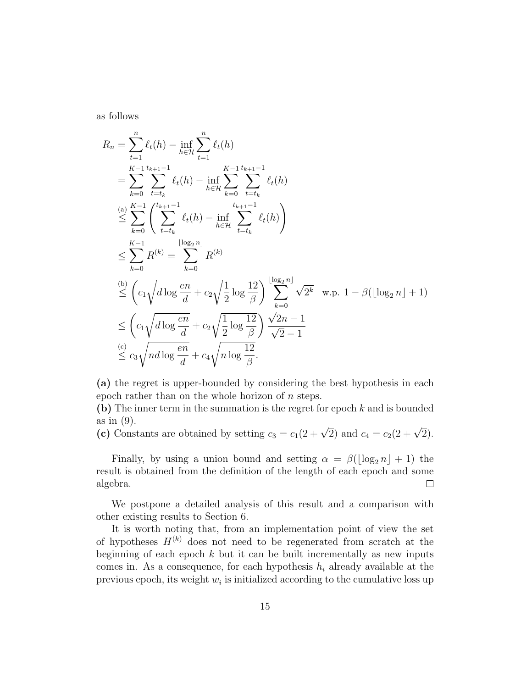as follows

$$
R_{n} = \sum_{t=1}^{n} \ell_{t}(h) - \inf_{h \in \mathcal{H}} \sum_{t=1}^{n} \ell_{t}(h)
$$
  
\n
$$
= \sum_{k=0}^{K-1} \sum_{t=t_{k}}^{t_{k+1}-1} \ell_{t}(h) - \inf_{h \in \mathcal{H}} \sum_{k=0}^{K-1} \sum_{t=t_{k}}^{t_{k+1}-1} \ell_{t}(h)
$$
  
\n
$$
\leq \sum_{k=0}^{K-1} \left( \sum_{t=t_{k}}^{t_{k+1}-1} \ell_{t}(h) - \inf_{h \in \mathcal{H}} \sum_{t=t_{k}}^{t_{k+1}-1} \ell_{t}(h) \right)
$$
  
\n
$$
\leq \sum_{k=0}^{K-1} R^{(k)} = \sum_{k=0}^{\lfloor \log_{2} n \rfloor} R^{(k)}
$$
  
\n
$$
\leq \left( c_{1} \sqrt{d \log \frac{en}{d}} + c_{2} \sqrt{\frac{1}{2} \log \frac{12}{\beta}} \right) \sum_{k=0}^{\lfloor \log_{2} n \rfloor} \sqrt{2^{k}} \text{ w.p. } 1 - \beta(\lfloor \log_{2} n \rfloor + 1)
$$
  
\n
$$
\leq \left( c_{1} \sqrt{d \log \frac{en}{d}} + c_{2} \sqrt{\frac{1}{2} \log \frac{12}{\beta}} \right) \frac{\sqrt{2n} - 1}{\sqrt{2} - 1}
$$
  
\n
$$
\leq c_{3} \sqrt{n d \log \frac{en}{d}} + c_{4} \sqrt{n \log \frac{12}{\beta}}.
$$

(a) the regret is upper-bounded by considering the best hypothesis in each epoch rather than on the whole horizon of  $n$  steps.

(b) The inner term in the summation is the regret for epoch k and is bounded as in (9).

(c) Constants are obtained by setting  $c_3 = c_1(2 + \sqrt{2})$  and  $c_4 = c_2(2 + \sqrt{2})$ .

Finally, by using a union bound and setting  $\alpha = \beta(\log_2 n + 1)$  the result is obtained from the definition of the length of each epoch and some algebra.  $\Box$ 

We postpone a detailed analysis of this result and a comparison with other existing results to Section 6.

It is worth noting that, from an implementation point of view the set of hypotheses  $H^{(k)}$  does not need to be regenerated from scratch at the beginning of each epoch  $k$  but it can be built incrementally as new inputs comes in. As a consequence, for each hypothesis  $h_i$  already available at the previous epoch, its weight  $w_i$  is initialized according to the cumulative loss up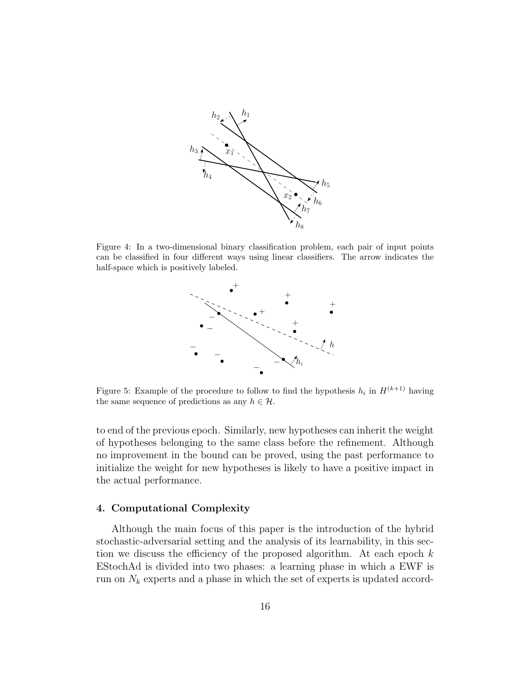

Figure 4: In a two-dimensional binary classification problem, each pair of input points can be classified in four different ways using linear classifiers. The arrow indicates the half-space which is positively labeled.



Figure 5: Example of the procedure to follow to find the hypothesis  $h_i$  in  $H^{(k+1)}$  having the same sequence of predictions as any  $h \in \mathcal{H}$ .

to end of the previous epoch. Similarly, new hypotheses can inherit the weight of hypotheses belonging to the same class before the refinement. Although no improvement in the bound can be proved, using the past performance to initialize the weight for new hypotheses is likely to have a positive impact in the actual performance.

#### 4. Computational Complexity

Although the main focus of this paper is the introduction of the hybrid stochastic-adversarial setting and the analysis of its learnability, in this section we discuss the efficiency of the proposed algorithm. At each epoch  $k$ EStochAd is divided into two phases: a learning phase in which a EWF is run on  $N_k$  experts and a phase in which the set of experts is updated accord-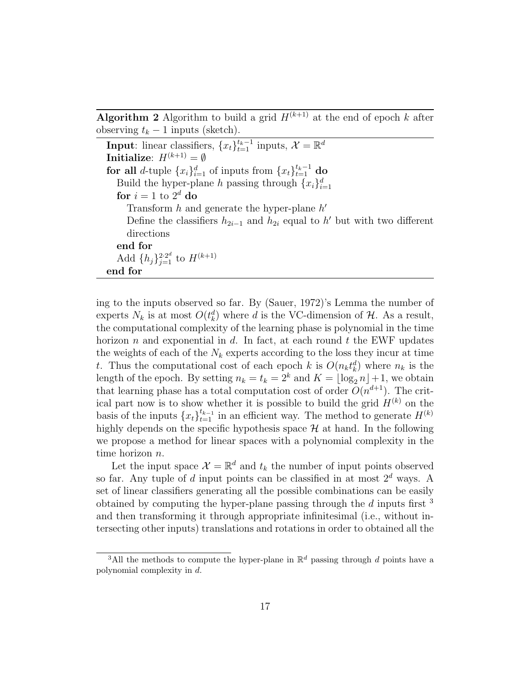**Algorithm 2** Algorithm to build a grid  $H^{(k+1)}$  at the end of epoch k after observing  $t_k - 1$  inputs (sketch).

**Input:** linear classifiers,  $\{x_t\}_{t=1}^{t_k-1}$  inputs,  $\mathcal{X} = \mathbb{R}^d$ **Initialize:**  $H^{(k+1)} = \emptyset$ for all *d*-tuple  $\{x_i\}_{i=1}^d$  of inputs from  $\{x_t\}_{t=1}^{t_k-1}$  do Build the hyper-plane h passing through  ${x_i}_{i=1}^d$ for  $i = 1$  to  $2^d$  do Transform  $h$  and generate the hyper-plane  $h'$ Define the classifiers  $h_{2i-1}$  and  $h_{2i}$  equal to h' but with two different directions end for Add  $\{h_j\}_{j=1}^{2 \cdot 2^d}$  to  $H^{(k+1)}$ end for

ing to the inputs observed so far. By (Sauer, 1972)'s Lemma the number of experts  $N_k$  is at most  $O(t_k^d)$  where d is the VC-dimension of  $\mathcal{H}$ . As a result, the computational complexity of the learning phase is polynomial in the time horizon n and exponential in d. In fact, at each round t the EWF updates the weights of each of the  $N_k$  experts according to the loss they incur at time t. Thus the computational cost of each epoch k is  $O(n_k t_k^d)$  where  $n_k$  is the length of the epoch. By setting  $n_k = t_k = 2^k$  and  $K = \lfloor \log_2 n \rfloor + 1$ , we obtain that learning phase has a total computation cost of order  $O(n^{d+1})$ . The critical part now is to show whether it is possible to build the grid  $H^{(k)}$  on the basis of the inputs  $\{x_t\}_{t=1}^{t_{k-1}}$  in an efficient way. The method to generate  $H^{(k)}$ highly depends on the specific hypothesis space  $\mathcal H$  at hand. In the following we propose a method for linear spaces with a polynomial complexity in the time horizon n.

Let the input space  $\mathcal{X} = \mathbb{R}^d$  and  $t_k$  the number of input points observed so far. Any tuple of d input points can be classified in at most  $2^d$  ways. A set of linear classifiers generating all the possible combinations can be easily obtained by computing the hyper-plane passing through the  $d$  inputs first  $3$ and then transforming it through appropriate infinitesimal (i.e., without intersecting other inputs) translations and rotations in order to obtained all the

<sup>&</sup>lt;sup>3</sup>All the methods to compute the hyper-plane in  $\mathbb{R}^d$  passing through d points have a polynomial complexity in d.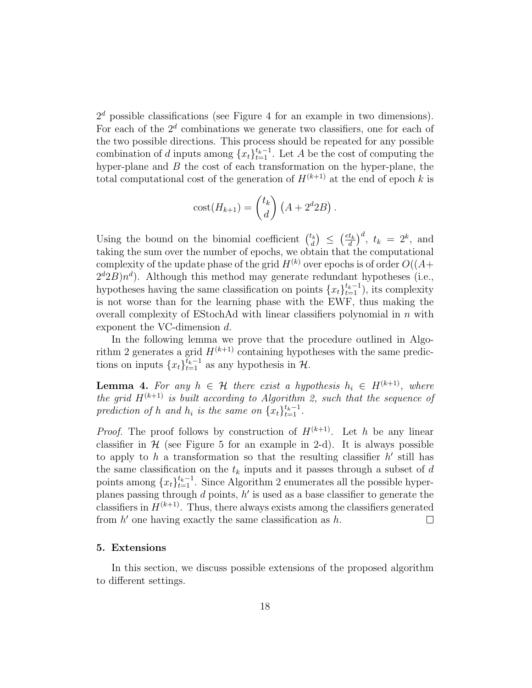$2<sup>d</sup>$  possible classifications (see Figure 4 for an example in two dimensions). For each of the  $2<sup>d</sup>$  combinations we generate two classifiers, one for each of the two possible directions. This process should be repeated for any possible combination of d inputs among  $\{x_t\}_{t=1}^{t_k-1}$ . Let A be the cost of computing the hyper-plane and  $B$  the cost of each transformation on the hyper-plane, the total computational cost of the generation of  $H^{(k+1)}$  at the end of epoch k is

$$
cost(H_{k+1}) = {t_k \choose d} (A + 2^d 2B).
$$

Using the bound on the binomial coefficient  $\binom{t_k}{d}$  $\binom{d}{d} \leq \left(\frac{et_k}{d}\right)$  $\left(\frac{t_k}{d}\right)^d$ ,  $t_k = 2^k$ , and taking the sum over the number of epochs, we obtain that the computational complexity of the update phase of the grid  $H^{(k)}$  over epochs is of order  $O((A +$  $2^d 2B$ )n<sup>d</sup>). Although this method may generate redundant hypotheses (i.e., hypotheses having the same classification on points  $\{x_t\}_{t=1}^{t_k-1}$ , its complexity is not worse than for the learning phase with the EWF, thus making the overall complexity of EStochAd with linear classifiers polynomial in  $n$  with exponent the VC-dimension d.

In the following lemma we prove that the procedure outlined in Algorithm 2 generates a grid  $H^{(k+1)}$  containing hypotheses with the same predictions on inputs  $\{x_t\}_{t=1}^{\tilde{t}_k-1}$  as any hypothesis in  $\mathcal{H}$ .

**Lemma 4.** For any  $h \in \mathcal{H}$  there exist a hypothesis  $h_i \in H^{(k+1)}$ , where the grid  $H^{(k+1)}$  is built according to Algorithm 2, such that the sequence of prediction of h and  $h_i$  is the same on  $\{x_t\}_{t=1}^{t_k-1}$ .

*Proof.* The proof follows by construction of  $H^{(k+1)}$ . Let h be any linear classifier in  $H$  (see Figure 5 for an example in 2-d). It is always possible to apply to h a transformation so that the resulting classifier  $h'$  still has the same classification on the  $t_k$  inputs and it passes through a subset of  $d$ points among  $\{x_t\}_{t=1}^{t_k-1}$ . Since Algorithm 2 enumerates all the possible hyperplanes passing through  $d$  points,  $h'$  is used as a base classifier to generate the classifiers in  $H^{(k+1)}$ . Thus, there always exists among the classifiers generated from  $h'$  one having exactly the same classification as  $h$ .  $\Box$ 

#### 5. Extensions

In this section, we discuss possible extensions of the proposed algorithm to different settings.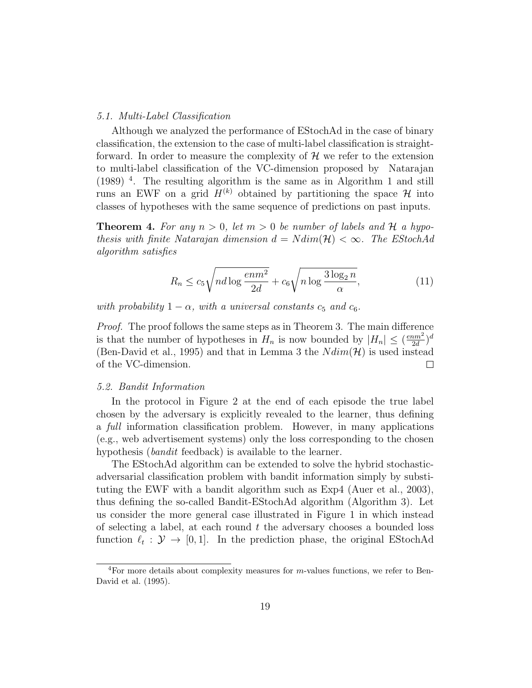#### 5.1. Multi-Label Classification

Although we analyzed the performance of EStochAd in the case of binary classification, the extension to the case of multi-label classification is straightforward. In order to measure the complexity of  $\mathcal H$  we refer to the extension to multi-label classification of the VC-dimension proposed by Natarajan (1989) <sup>4</sup> . The resulting algorithm is the same as in Algorithm 1 and still runs an EWF on a grid  $H^{(k)}$  obtained by partitioning the space H into classes of hypotheses with the same sequence of predictions on past inputs.

**Theorem 4.** For any  $n > 0$ , let  $m > 0$  be number of labels and H a hypothesis with finite Natarajan dimension  $d = N dim(\mathcal{H}) < \infty$ . The EStochAd algorithm satisfies

$$
R_n \le c_5 \sqrt{nd \log \frac{enm^2}{2d}} + c_6 \sqrt{n \log \frac{3 \log_2 n}{\alpha}},\tag{11}
$$

with probability  $1 - \alpha$ , with a universal constants  $c_5$  and  $c_6$ .

Proof. The proof follows the same steps as in Theorem 3. The main difference is that the number of hypotheses in  $H_n$  is now bounded by  $|H_n| \leq (\frac{e n m^2}{2d})$  $\frac{am^2}{2d}$ <sup>d</sup> (Ben-David et al., 1995) and that in Lemma 3 the  $N dim(\mathcal{H})$  is used instead of the VC-dimension. of the VC-dimension.

# 5.2. Bandit Information

In the protocol in Figure 2 at the end of each episode the true label chosen by the adversary is explicitly revealed to the learner, thus defining a full information classification problem. However, in many applications (e.g., web advertisement systems) only the loss corresponding to the chosen hypothesis *(bandit* feedback) is available to the learner.

The EStochAd algorithm can be extended to solve the hybrid stochasticadversarial classification problem with bandit information simply by substituting the EWF with a bandit algorithm such as Exp4 (Auer et al., 2003), thus defining the so-called Bandit-EStochAd algorithm (Algorithm 3). Let us consider the more general case illustrated in Figure 1 in which instead of selecting a label, at each round  $t$  the adversary chooses a bounded loss function  $\ell_t : \mathcal{Y} \to [0, 1]$ . In the prediction phase, the original EStochAd

<sup>&</sup>lt;sup>4</sup>For more details about complexity measures for  $m$ -values functions, we refer to Ben-David et al. (1995).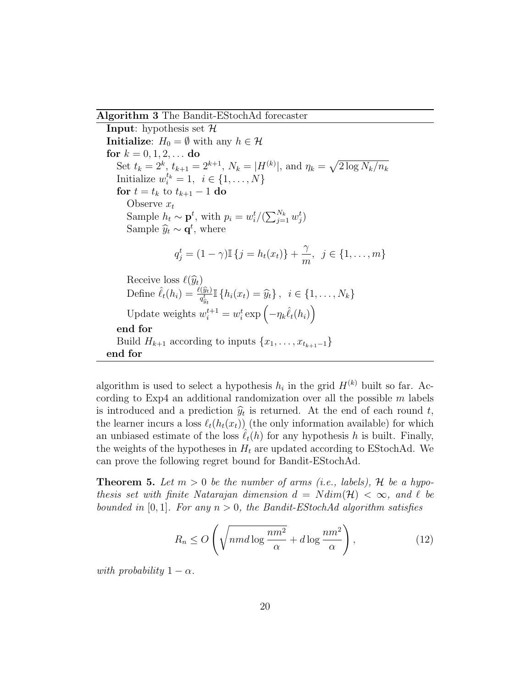Algorithm 3 The Bandit-EStochAd forecaster

**Input:** hypothesis set  $H$ **Initialize:**  $H_0 = \emptyset$  with any  $h \in \mathcal{H}$ for  $k = 0, 1, 2, ...$  do Set  $t_k = 2^k$ ,  $t_{k+1} = 2^{k+1}$ ,  $N_k = |H^{(k)}|$ , and  $\eta_k = \sqrt{2 \log N_k/n_k}$ Initialize  $w_i^{t_k} = 1, i \in \{1, \ldots, N\}$ for  $t = t_k$  to  $t_{k+1} - 1$  do Observe  $x_t$ Sample  $h_t \sim \mathbf{p}^t$ , with  $p_i = w_i^t/(\sum_{j=1}^{N_k} w_j^t)$ Sample  $\hat{y}_t \sim \mathbf{q}^t$ , where  $q_j^t = (1 - \gamma) \mathbb{I} \{j = h_t(x_t)\} + \frac{\gamma}{m}$  $\frac{1}{m}, \; j \in \{1, \ldots, m\}$ Receive loss  $\ell(\widehat{y}_t)$ <br>Define  $\hat{\ell}_t(h_i) = \frac{\ell(\widehat{y}_t)}{q_{\widehat{y}_t}} \mathbb{I} \{h_i(x_t) = \widehat{y}_t\}, \ \ i \in \{1, \ldots, N_k\}$ Update weights  $w_i^{t+1} = w_i^t \exp\left(-\eta_k \hat{\ell}_t(h_i)\right)$ end for Build  $H_{k+1}$  according to inputs  $\{x_1, \ldots, x_{t_{k+1}-1}\}$ end for

algorithm is used to select a hypothesis  $h_i$  in the grid  $H^{(k)}$  built so far. According to Exp4 an additional randomization over all the possible  $m$  labels is introduced and a prediction  $\hat{y}_t$  is returned. At the end of each round t,<br>the learner incurs a loss  $\ell$  (b  $(x)$ ) (the only information available) for which the learner incurs a loss  $\ell_t(h_t(x_t))$  (the only information available) for which an unbiased estimate of the loss  $\ell_t(h)$  for any hypothesis h is built. Finally, the weights of the hypotheses in  $H_t$  are updated according to EStochAd. We can prove the following regret bound for Bandit-EStochAd.

**Theorem 5.** Let  $m > 0$  be the number of arms (i.e., labels), H be a hypothesis set with finite Natarajan dimension  $d = N dim(\mathcal{H}) < \infty$ , and  $\ell$  be bounded in [0,1]. For any  $n > 0$ , the Bandit-EStochAd algorithm satisfies

$$
R_n \le O\left(\sqrt{nmd\log\frac{nm^2}{\alpha}} + d\log\frac{nm^2}{\alpha}\right),\tag{12}
$$

with probability  $1 - \alpha$ .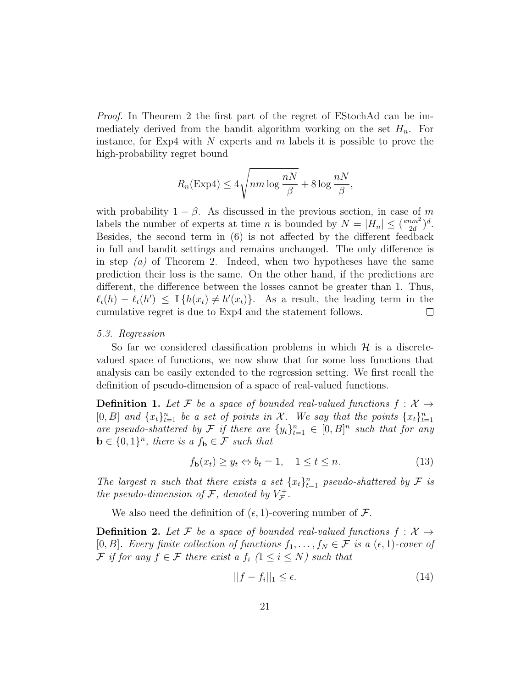Proof. In Theorem 2 the first part of the regret of EStochAd can be immediately derived from the bandit algorithm working on the set  $H_n$ . For instance, for Exp4 with  $N$  experts and  $m$  labels it is possible to prove the high-probability regret bound

$$
R_n(\text{Exp4}) \le 4\sqrt{nm \log \frac{nN}{\beta}} + 8\log \frac{nN}{\beta},
$$

with probability  $1 - \beta$ . As discussed in the previous section, in case of m labels the number of experts at time *n* is bounded by  $N = |H_n| \leq \left(\frac{e n m^2}{2d}\right)^2$  $\frac{am^2}{2d}$  $\big)^d$ . Besides, the second term in (6) is not affected by the different feedback in full and bandit settings and remains unchanged. The only difference is in step  $(a)$  of Theorem 2. Indeed, when two hypotheses have the same prediction their loss is the same. On the other hand, if the predictions are different, the difference between the losses cannot be greater than 1. Thus,  $\ell_t(h) - \ell_t(h') \leq \mathbb{I} \{h(x_t) \neq h'(x_t)\}.$  As a result, the leading term in the cumulative regret is due to Exp4 and the statement follows.

#### 5.3. Regression

So far we considered classification problems in which  $\mathcal H$  is a discretevalued space of functions, we now show that for some loss functions that analysis can be easily extended to the regression setting. We first recall the definition of pseudo-dimension of a space of real-valued functions.

**Definition 1.** Let F be a space of bounded real-valued functions  $f: \mathcal{X} \rightarrow$ [0, B] and  $\{x_t\}_{t=1}^n$  be a set of points in X. We say that the points  $\{x_t\}_{t=1}^n$ are pseudo-shattered by F if there are  $\{y_t\}_{t=1}^n \in [0, B]^n$  such that for any  $\mathbf{b} \in \{0,1\}^n$ , there is a  $f_{\mathbf{b}} \in \mathcal{F}$  such that

$$
f_{\mathbf{b}}(x_t) \ge y_t \Leftrightarrow b_t = 1, \quad 1 \le t \le n. \tag{13}
$$

The largest n such that there exists a set  $\{x_t\}_{t=1}^n$  pseudo-shattered by  $\mathcal F$  is the pseudo-dimension of  $\mathcal{F}$ , denoted by  $V_{\mathcal{F}}^+$ r+<br>ア・

We also need the definition of  $(\epsilon, 1)$ -covering number of  $\mathcal{F}$ .

**Definition 2.** Let F be a space of bounded real-valued functions  $f: \mathcal{X} \rightarrow$ [0, B]. Every finite collection of functions  $f_1, \ldots, f_N \in \mathcal{F}$  is a  $(\epsilon, 1)$ -cover of F if for any  $f \in \mathcal{F}$  there exist a  $f_i$   $(1 \leq i \leq N)$  such that

$$
||f - f_i||_1 \le \epsilon. \tag{14}
$$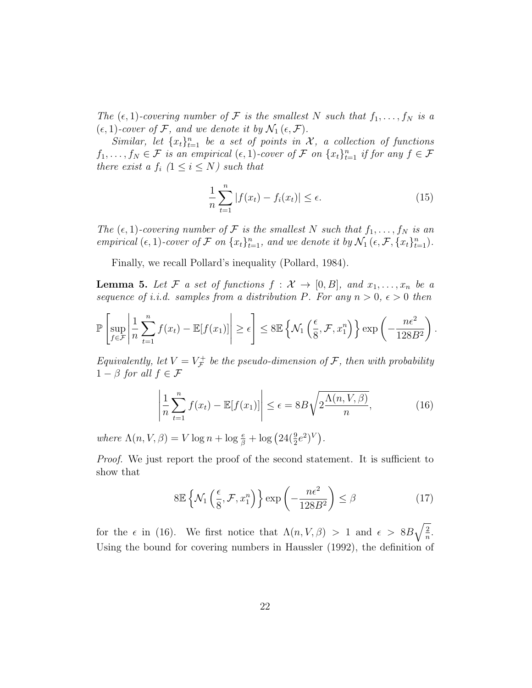The  $(\epsilon, 1)$ -covering number of F is the smallest N such that  $f_1, \ldots, f_N$  is a  $(\epsilon, 1)$ -cover of F, and we denote it by  $\mathcal{N}_1(\epsilon, \mathcal{F})$ .

Similar, let  $\{x_t\}_{t=1}^n$  be a set of points in X, a collection of functions  $f_1, \ldots, f_N \in \mathcal{F}$  is an empirical  $(\epsilon, 1)$ -cover of  $\mathcal{F}$  on  $\{x_t\}_{t=1}^n$  if for any  $f \in \mathcal{F}$ there exist a  $f_i$   $(1 \leq i \leq N)$  such that

$$
\frac{1}{n}\sum_{t=1}^{n}|f(x_t)-f_i(x_t)| \le \epsilon.
$$
\n(15)

The  $(\epsilon, 1)$ -covering number of F is the smallest N such that  $f_1, \ldots, f_N$  is an empirical  $(\epsilon, 1)$ -cover of F on  $\{x_t\}_{t=1}^n$ , and we denote it by  $\mathcal{N}_1(\epsilon, \mathcal{F}, \{x_t\}_{t=1}^n)$ .

Finally, we recall Pollard's inequality (Pollard, 1984).

**Lemma 5.** Let F a set of functions  $f: \mathcal{X} \to [0, B]$ , and  $x_1, \ldots, x_n$  be a sequence of i.i.d. samples from a distribution P. For any  $n > 0$ ,  $\epsilon > 0$  then

$$
\mathbb{P}\left[\sup_{f\in\mathcal{F}}\left|\frac{1}{n}\sum_{t=1}^n f(x_t) - \mathbb{E}[f(x_1)]\right| \geq \epsilon\right] \leq 8\mathbb{E}\left\{\mathcal{N}_1\left(\frac{\epsilon}{8}, \mathcal{F}, x_1^n\right)\right\} \exp\left(-\frac{n\epsilon^2}{128B^2}\right).
$$

Equivalently, let  $V = V_{\mathcal{F}}^+$  $U_{\mathcal{F}}^{+}$  be the pseudo-dimension of  $\mathcal{F},$  then with probability  $1 - \beta$  for all  $f \in \mathcal{F}$ 

$$
\left| \frac{1}{n} \sum_{t=1}^{n} f(x_t) - \mathbb{E}[f(x_1)] \right| \le \epsilon = 8B \sqrt{2 \frac{\Lambda(n, V, \beta)}{n}},\tag{16}
$$

where  $\Lambda(n, V, \beta) = V \log n + \log \frac{e}{\beta} + \log (24(\frac{9}{2}e^2)^V).$ 

Proof. We just report the proof of the second statement. It is sufficient to show that

$$
8\mathbb{E}\left\{\mathcal{N}_1\left(\frac{\epsilon}{8}, \mathcal{F}, x_1^n\right)\right\}\exp\left(-\frac{n\epsilon^2}{128B^2}\right) \le \beta\tag{17}
$$

for the  $\epsilon$  in (16). We first notice that  $\Lambda(n, V, \beta) > 1$  and  $\epsilon > 8B\sqrt{\frac{2}{n}}$  $\frac{2}{n}$ . Using the bound for covering numbers in Haussler (1992), the definition of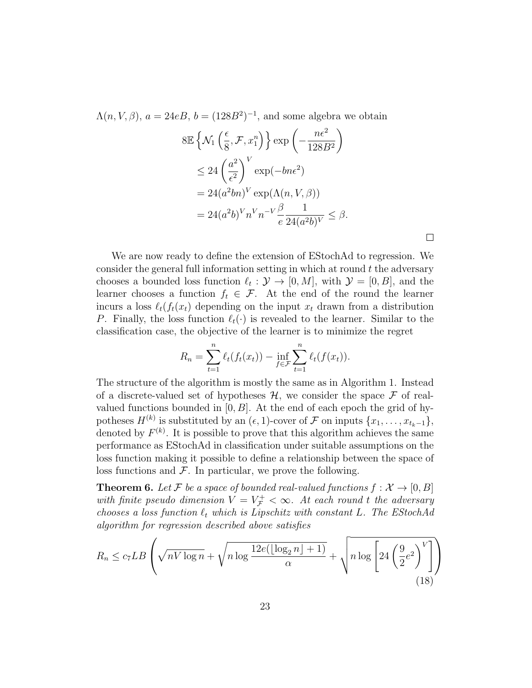$\Lambda(n, V, \beta)$ ,  $a = 24eB$ ,  $b = (128B^2)^{-1}$ , and some algebra we obtain

$$
8\mathbb{E}\left\{\mathcal{N}_1\left(\frac{\epsilon}{8}, \mathcal{F}, x_1^n\right)\right\} \exp\left(-\frac{n\epsilon^2}{128B^2}\right)
$$
  
\n
$$
\leq 24\left(\frac{a^2}{\epsilon^2}\right)^V \exp(-bn\epsilon^2)
$$
  
\n
$$
= 24(a^2bn)^V \exp(\Lambda(n, V, \beta))
$$
  
\n
$$
= 24(a^2b)^V n^V n^{-V} \frac{\beta}{e} \frac{1}{24(a^2b)^V} \leq \beta.
$$

 $\Box$ 

We are now ready to define the extension of EStochAd to regression. We consider the general full information setting in which at round  $t$  the adversary chooses a bounded loss function  $\ell_t : \mathcal{Y} \to [0, M]$ , with  $\mathcal{Y} = [0, B]$ , and the learner chooses a function  $f_t \in \mathcal{F}$ . At the end of the round the learner incurs a loss  $\ell_t(f_t(x_t))$  depending on the input  $x_t$  drawn from a distribution P. Finally, the loss function  $\ell_t(\cdot)$  is revealed to the learner. Similar to the classification case, the objective of the learner is to minimize the regret

$$
R_n = \sum_{t=1}^n \ell_t(f_t(x_t)) - \inf_{f \in \mathcal{F}} \sum_{t=1}^n \ell_t(f(x_t)).
$$

The structure of the algorithm is mostly the same as in Algorithm 1. Instead of a discrete-valued set of hypotheses  $H$ , we consider the space  $\mathcal F$  of realvalued functions bounded in  $[0, B]$ . At the end of each epoch the grid of hypotheses  $H^{(k)}$  is substituted by an  $(\epsilon, 1)$ -cover of  $\mathcal F$  on inputs  $\{x_1, \ldots, x_{t_k-1}\},$ denoted by  $F^{(k)}$ . It is possible to prove that this algorithm achieves the same performance as EStochAd in classification under suitable assumptions on the loss function making it possible to define a relationship between the space of loss functions and  $\mathcal F$ . In particular, we prove the following.

**Theorem 6.** Let F be a space of bounded real-valued functions  $f: \mathcal{X} \rightarrow [0, B]$ with finite pseudo dimension  $V = V_{\mathcal{F}}^+ < \infty$ . At each round t the adversary chooses a loss function  $\ell_t$  which is Lipschitz with constant L. The EStochAd algorithm for regression described above satisfies

$$
R_n \le c_7 LB \left(\sqrt{nV \log n} + \sqrt{n \log \frac{12e(\lfloor \log_2 n \rfloor + 1)}{\alpha}} + \sqrt{n \log \left[24\left(\frac{9}{2}e^2\right)^V\right]}\right)
$$
\n(18)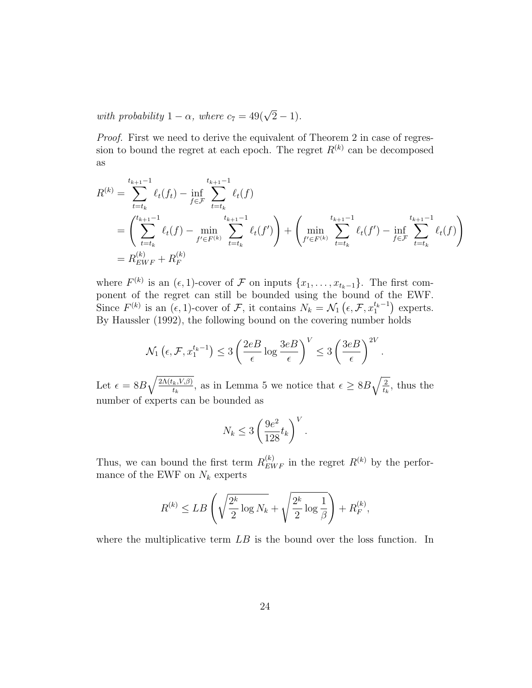with probability  $1 - \alpha$ , where  $c_7 = 49(\sqrt{2} - 1)$ .

Proof. First we need to derive the equivalent of Theorem 2 in case of regression to bound the regret at each epoch. The regret  $R^{(k)}$  can be decomposed as

$$
R^{(k)} = \sum_{t=t_k}^{t_{k+1}-1} \ell_t(f_t) - \inf_{f \in \mathcal{F}} \sum_{t=t_k}^{t_{k+1}-1} \ell_t(f)
$$
  
= 
$$
\left(\sum_{t=t_k}^{t_{k+1}-1} \ell_t(f) - \min_{f' \in F^{(k)}} \sum_{t=t_k}^{t_{k+1}-1} \ell_t(f')\right) + \left(\min_{f' \in F^{(k)}} \sum_{t=t_k}^{t_{k+1}-1} \ell_t(f') - \inf_{f \in \mathcal{F}} \sum_{t=t_k}^{t_{k+1}-1} \ell_t(f)\right)
$$
  
= 
$$
R_{EWF}^{(k)} + R_F^{(k)}
$$

where  $F^{(k)}$  is an  $(\epsilon, 1)$ -cover of  $\mathcal F$  on inputs  $\{x_1, \ldots, x_{t_k-1}\}$ . The first component of the regret can still be bounded using the bound of the EWF. Since  $F^{(k)}$  is an  $(\epsilon, 1)$ -cover of  $\mathcal{F}$ , it contains  $N_k = \mathcal{N}_1(\epsilon, \mathcal{F}, x_1^{t_k-1})$  experts. By Haussler (1992), the following bound on the covering number holds

$$
\mathcal{N}_1\left(\epsilon, \mathcal{F}, x_1^{t_k - 1}\right) \le 3 \left(\frac{2e}{\epsilon} \log \frac{3e}{\epsilon}\right)^V \le 3 \left(\frac{3e}{\epsilon}\right)^{2V}
$$

.

Let  $\epsilon = 8B\sqrt{\frac{2\Lambda(t_k,V,\beta)}{t_k}}$  $\frac{(k, V, \beta)}{t_k}$ , as in Lemma 5 we notice that  $\epsilon \geq 8B\sqrt{\frac{2}{t_k}}$  $\frac{2}{t_k}$ , thus the number of experts can be bounded as

$$
N_k \le 3 \left(\frac{9e^2}{128}t_k\right)^V.
$$

Thus, we can bound the first term  $R_{EWF}^{(k)}$  in the regret  $R^{(k)}$  by the performance of the EWF on  $N_k$  experts

$$
R^{(k)} \leq LB\left(\sqrt{\frac{2^k}{2}\log N_k} + \sqrt{\frac{2^k}{2}\log\frac{1}{\beta}}\right) + R_F^{(k)},
$$

where the multiplicative term  $LB$  is the bound over the loss function. In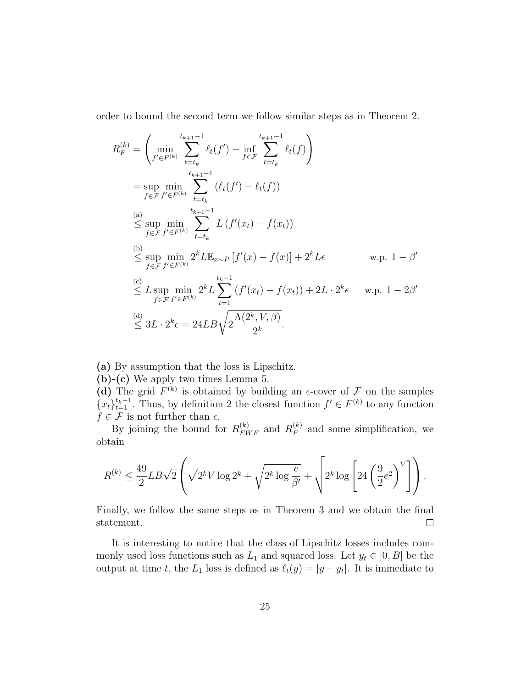order to bound the second term we follow similar steps as in Theorem 2.

$$
R_F^{(k)} = \left(\min_{f' \in F^{(k)}} \sum_{t=t_k}^{t_{k+1}-1} \ell_t(f') - \inf_{f \in \mathcal{F}} \sum_{t=t_k}^{t_{k+1}-1} \ell_t(f)\right)
$$
  
\n
$$
= \sup_{f \in \mathcal{F}} \min_{f' \in F^{(k)}} \sum_{t=t_k}^{t_{k+1}-1} (\ell_t(f') - \ell_t(f))
$$
  
\n(a) 
$$
\leq \sup_{f \in \mathcal{F}} \min_{f' \in F^{(k)}} \sum_{t=t_k}^{t_{k+1}-1} L(f'(x_t) - f(x_t))
$$
  
\n(b) 
$$
\leq \sup_{f \in \mathcal{F}} \min_{f' \in F^{(k)}} 2^k L \mathbb{E}_{x \sim P} [f'(x) - f(x)] + 2^k L \epsilon \qquad \text{w.p. } 1 - \beta'
$$
  
\n(c) 
$$
\leq L \sup_{f \in \mathcal{F}} \min_{f' \in F^{(k)}} 2^k L \sum_{t=1}^{t_{k}-1} (f'(x_t) - f(x_t)) + 2L \cdot 2^k \epsilon \qquad \text{w.p. } 1 - 2\beta'
$$
  
\n(d) 
$$
\leq 3L \cdot 2^k \epsilon = 24LB\sqrt{2\frac{\Lambda(2^k, V, \beta)}{2^k}}.
$$

(a) By assumption that the loss is Lipschitz.

(b)-(c) We apply two times Lemma 5.

(d) The grid  $F^{(k)}$  is obtained by building an  $\epsilon$ -cover of  $\mathcal F$  on the samples  ${x_t}_{t=1}^{t_k-1}$ . Thus, by definition 2 the closest function  $f' \in F^{(k)}$  to any function  $f \in \mathcal{F}$  is not further than  $\epsilon$ .

By joining the bound for  $R_{EWF}^{(k)}$  and  $R_F^{(k)}$  $F_F^{(k)}$  and some simplification, we obtain

$$
R^{(k)} \le \frac{49}{2} L B \sqrt{2} \left( \sqrt{2^k V \log 2^k} + \sqrt{2^k \log \frac{e}{\beta'}} + \sqrt{2^k \log \left[ 24 \left( \frac{9}{2} e^2 \right)^V \right]} \right).
$$

Finally, we follow the same steps as in Theorem 3 and we obtain the final statement.  $\Box$ 

It is interesting to notice that the class of Lipschitz losses includes commonly used loss functions such as  $L_1$  and squared loss. Let  $y_t \in [0, B]$  be the output at time t, the  $L_1$  loss is defined as  $\ell_t(y) = |y - y_t|$ . It is immediate to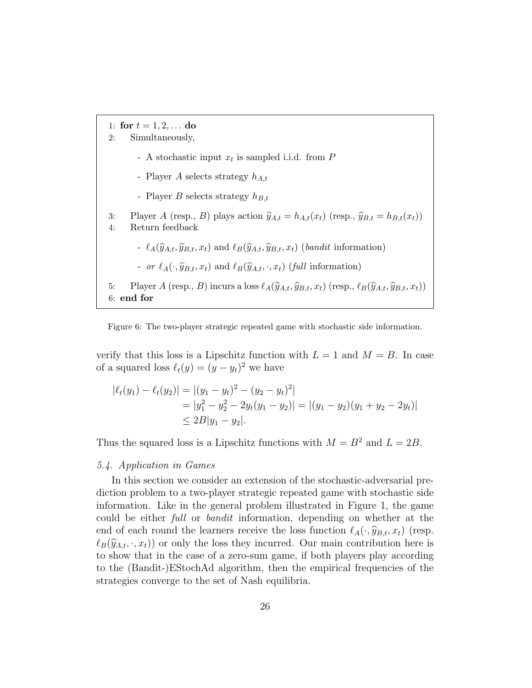1: for  $t = 1, 2, ...$  do 2: Simultaneously, - A stochastic input  $x_t$  is sampled i.i.d. from  $P$ - Player A selects strategy  $h_{A,t}$ - Player B selects strategy  $h_{B,t}$ 3: Player A (resp., B) plays action  $\hat{y}_{A,t} = h_{A,t}(x_t)$  (resp.,  $\hat{y}_{B,t} = h_{B,t}(x_t)$ )<br>4: Return feedback Return feedback -  $\ell_A(\widehat{y}_{A,t}, \widehat{y}_{B,t}, x_t)$  and  $\ell_B(\widehat{y}_{A,t}, \widehat{y}_{B,t}, x_t)$  (bandit information) - or  $\ell_A(\cdot, \hat{y}_{B,t}, x_t)$  and  $\ell_B(\hat{y}_{A,t}, \cdot, x_t)$  (full information) 5: Player A (resp., B) incurs a loss  $\ell_A(\hat{y}_{A,t}, \hat{y}_{B,t}, x_t)$  (resp.,  $\ell_B(\hat{y}_{A,t}, \hat{y}_{B,t}, x_t)$ ) 6: end for

Figure 6: The two-player strategic repeated game with stochastic side information.

verify that this loss is a Lipschitz function with  $L = 1$  and  $M = B$ . In case of a squared loss  $\ell_t(y) = (y - y_t)^2$  we have

$$
|\ell_t(y_1) - \ell_t(y_2)| = |(y_1 - y_t)^2 - (y_2 - y_t)^2|
$$
  
=  $|y_1^2 - y_2^2 - 2y_t(y_1 - y_2)| = |(y_1 - y_2)(y_1 + y_2 - 2y_t)|$   
 $\le 2B|y_1 - y_2|$ .

Thus the squared loss is a Lipschitz functions with  $M = B^2$  and  $L = 2B$ .

#### 5.4. Application in Games

In this section we consider an extension of the stochastic-adversarial prediction problem to a two-player strategic repeated game with stochastic side information. Like in the general problem illustrated in Figure 1, the game could be either full or bandit information, depending on whether at the end of each round the learners receive the loss function  $\ell_A(\cdot, \hat{y}_{B,t}, x_t)$  (resp.  $\ell_B(\widehat{y}_{A,t}, \cdot, x_t)$  or only the loss they incurred. Our main contribution here is to show that in the case of a zero-sum game, if both players play according to the (Bandit-)EStochAd algorithm, then the empirical frequencies of the strategies converge to the set of Nash equilibria.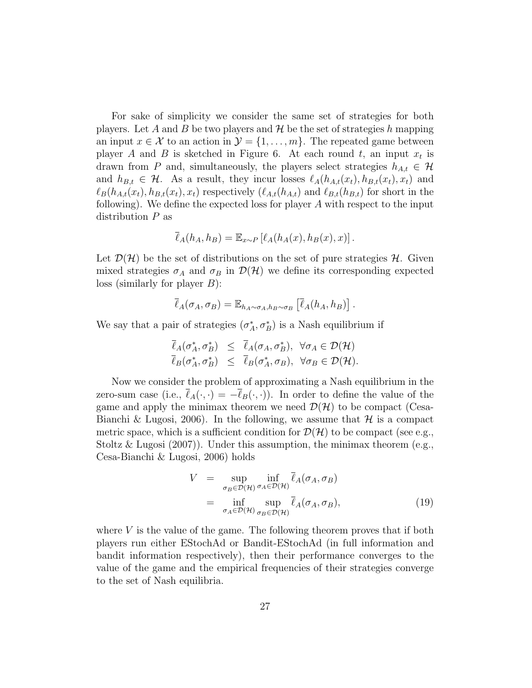For sake of simplicity we consider the same set of strategies for both players. Let A and B be two players and  $\mathcal{H}$  be the set of strategies h mapping an input  $x \in \mathcal{X}$  to an action in  $\mathcal{Y} = \{1, \ldots, m\}$ . The repeated game between player A and B is sketched in Figure 6. At each round t, an input  $x_t$  is drawn from P and, simultaneously, the players select strategies  $h_{A,t} \in \mathcal{H}$ and  $h_{B,t} \in \mathcal{H}$ . As a result, they incur losses  $\ell_A(h_{A,t}(x_t), h_{B,t}(x_t), x_t)$  and  $\ell_B(h_{A,t}(x_t), h_{B,t}(x_t), x_t)$  respectively  $(\ell_{A,t}(h_{A,t})$  and  $\ell_{B,t}(h_{B,t})$  for short in the following). We define the expected loss for player  $A$  with respect to the input distribution  $P$  as

$$
\overline{\ell}_A(h_A, h_B) = \mathbb{E}_{x \sim P} [\ell_A(h_A(x), h_B(x), x)].
$$

Let  $\mathcal{D}(\mathcal{H})$  be the set of distributions on the set of pure strategies H. Given mixed strategies  $\sigma_A$  and  $\sigma_B$  in  $\mathcal{D}(\mathcal{H})$  we define its corresponding expected  $\text{loss}$  (similarly for player B):

$$
\overline{\ell}_A(\sigma_A, \sigma_B) = \mathbb{E}_{h_A \sim \sigma_A, h_B \sim \sigma_B} \left[ \overline{\ell}_A(h_A, h_B) \right].
$$

We say that a pair of strategies  $(\sigma_A^*, \sigma_B^*)$  is a Nash equilibrium if

$$
\overline{\ell}_A(\sigma_A^*, \sigma_B^*) \leq \overline{\ell}_A(\sigma_A, \sigma_B^*), \ \forall \sigma_A \in \mathcal{D}(\mathcal{H}) \overline{\ell}_B(\sigma_A^*, \sigma_B^*) \leq \overline{\ell}_B(\sigma_A^*, \sigma_B), \ \forall \sigma_B \in \mathcal{D}(\mathcal{H}).
$$

Now we consider the problem of approximating a Nash equilibrium in the zero-sum case (i.e.,  $\overline{\ell}_A(\cdot, \cdot) = -\overline{\ell}_B(\cdot, \cdot)$ ). In order to define the value of the game and apply the minimax theorem we need  $\mathcal{D}(\mathcal{H})$  to be compact (Cesa-Bianchi & Lugosi, 2006). In the following, we assume that  $\mathcal H$  is a compact metric space, which is a sufficient condition for  $\mathcal{D}(\mathcal{H})$  to be compact (see e.g., Stoltz & Lugosi (2007)). Under this assumption, the minimax theorem (e.g., Cesa-Bianchi & Lugosi, 2006) holds

$$
V = \sup_{\sigma_B \in \mathcal{D}(\mathcal{H})} \inf_{\sigma_A \in \mathcal{D}(\mathcal{H})} \ell_A(\sigma_A, \sigma_B)
$$
  
= 
$$
\inf_{\sigma_A \in \mathcal{D}(\mathcal{H})} \sup_{\sigma_B \in \mathcal{D}(\mathcal{H})} \bar{\ell}_A(\sigma_A, \sigma_B),
$$
(19)

where  $V$  is the value of the game. The following theorem proves that if both players run either EStochAd or Bandit-EStochAd (in full information and bandit information respectively), then their performance converges to the value of the game and the empirical frequencies of their strategies converge to the set of Nash equilibria.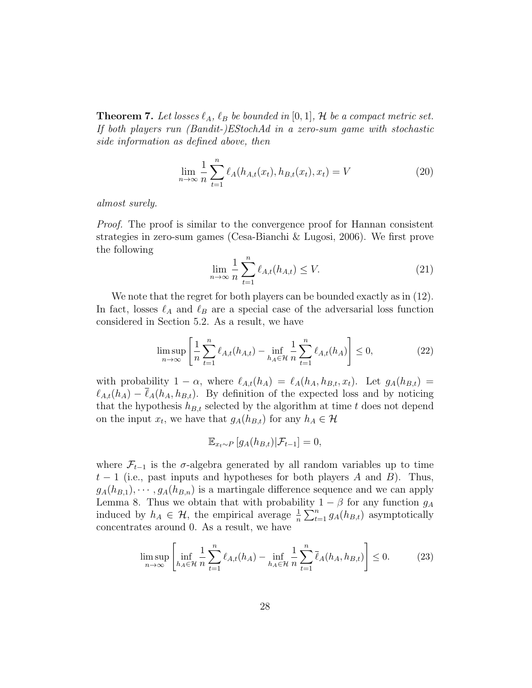**Theorem 7.** Let losses  $\ell_A$ ,  $\ell_B$  be bounded in [0, 1], H be a compact metric set. If both players run (Bandit-)EStochAd in a zero-sum game with stochastic side information as defined above, then

$$
\lim_{n \to \infty} \frac{1}{n} \sum_{t=1}^{n} \ell_A(h_{A,t}(x_t), h_{B,t}(x_t), x_t) = V
$$
\n(20)

almost surely.

Proof. The proof is similar to the convergence proof for Hannan consistent strategies in zero-sum games (Cesa-Bianchi & Lugosi, 2006). We first prove the following

$$
\lim_{n \to \infty} \frac{1}{n} \sum_{t=1}^{n} \ell_{A,t}(h_{A,t}) \le V. \tag{21}
$$

We note that the regret for both players can be bounded exactly as in  $(12)$ . In fact, losses  $\ell_A$  and  $\ell_B$  are a special case of the adversarial loss function considered in Section 5.2. As a result, we have

$$
\limsup_{n \to \infty} \left[ \frac{1}{n} \sum_{t=1}^{n} \ell_{A,t}(h_{A,t}) - \inf_{h_A \in \mathcal{H}} \frac{1}{n} \sum_{t=1}^{n} \ell_{A,t}(h_A) \right] \le 0,
$$
\n(22)

with probability  $1 - \alpha$ , where  $\ell_{A,t}(h_A) = \ell_A(h_A, h_{B,t}, x_t)$ . Let  $g_A(h_{B,t}) =$  $\ell_{A,t}(h_A) - \bar{\ell}_A(h_A, h_{B,t}).$  By definition of the expected loss and by noticing that the hypothesis  $h_{B,t}$  selected by the algorithm at time t does not depend on the input  $x_t$ , we have that  $g_A(h_{B,t})$  for any  $h_A \in \mathcal{H}$ 

$$
\mathbb{E}_{x_t \sim P} \left[ g_A(h_{B,t}) | \mathcal{F}_{t-1} \right] = 0,
$$

where  $\mathcal{F}_{t-1}$  is the  $\sigma$ -algebra generated by all random variables up to time  $t-1$  (i.e., past inputs and hypotheses for both players A and B). Thus,  $g_A(h_{B,1}), \dots, g_A(h_{B,n})$  is a martingale difference sequence and we can apply Lemma 8. Thus we obtain that with probability  $1 - \beta$  for any function  $g_A$ induced by  $h_A \in \mathcal{H}$ , the empirical average  $\frac{1}{n} \sum_{t=1}^n g_A(h_{B,t})$  asymptotically concentrates around 0. As a result, we have

$$
\limsup_{n \to \infty} \left[ \inf_{h_A \in \mathcal{H}} \frac{1}{n} \sum_{t=1}^n \ell_{A,t}(h_A) - \inf_{h_A \in \mathcal{H}} \frac{1}{n} \sum_{t=1}^n \overline{\ell}_A(h_A, h_{B,t}) \right] \le 0.
$$
 (23)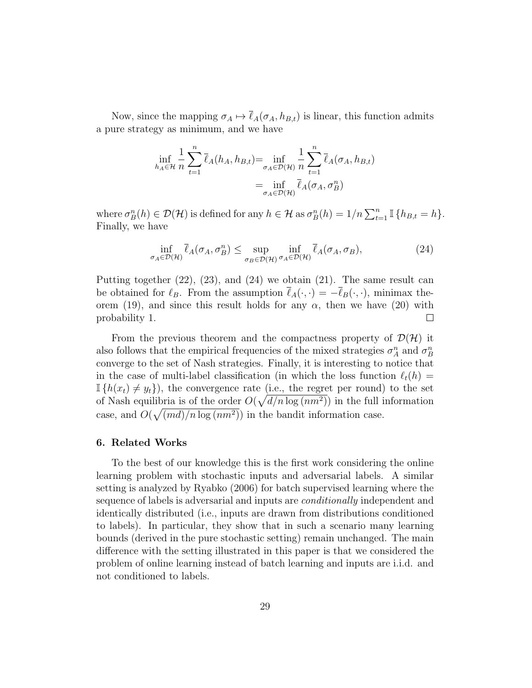Now, since the mapping  $\sigma_A \mapsto \bar{\ell}_A(\sigma_A, h_{B,t})$  is linear, this function admits a pure strategy as minimum, and we have

$$
\inf_{h_A \in \mathcal{H}} \frac{1}{n} \sum_{t=1}^n \overline{\ell}_A(h_A, h_{B,t}) = \inf_{\sigma_A \in \mathcal{D}(\mathcal{H})} \frac{1}{n} \sum_{t=1}^n \overline{\ell}_A(\sigma_A, h_{B,t})
$$

$$
= \inf_{\sigma_A \in \mathcal{D}(\mathcal{H})} \overline{\ell}_A(\sigma_A, \sigma_B^n)
$$

where  $\sigma_B^n(h) \in \mathcal{D}(\mathcal{H})$  is defined for any  $h \in \mathcal{H}$  as  $\sigma_B^n(h) = 1/n \sum_{t=1}^n \mathbb{I} \{h_{B,t} = h\}.$ Finally, we have

$$
\inf_{\sigma_A \in \mathcal{D}(\mathcal{H})} \bar{\ell}_A(\sigma_A, \sigma_B^n) \le \sup_{\sigma_B \in \mathcal{D}(\mathcal{H})} \inf_{\sigma_A \in \mathcal{D}(\mathcal{H})} \bar{\ell}_A(\sigma_A, \sigma_B),
$$
\n(24)

Putting together  $(22)$ ,  $(23)$ , and  $(24)$  we obtain  $(21)$ . The same result can be obtained for  $\ell_B$ . From the assumption  $\bar{\ell}_A(\cdot, \cdot) = -\bar{\ell}_B(\cdot, \cdot)$ , minimax theorem (19), and since this result holds for any  $\alpha$ , then we have (20) with probability 1.  $\Box$ 

From the previous theorem and the compactness property of  $\mathcal{D}(\mathcal{H})$  it also follows that the empirical frequencies of the mixed strategies  $\sigma_A^n$  and  $\sigma_B^n$ converge to the set of Nash strategies. Finally, it is interesting to notice that in the case of multi-label classification (in which the loss function  $\ell_t(h) =$  $\mathbb{I}\{h(x_t) \neq y_t\}$ , the convergence rate (i.e., the regret per round) to the set of Nash equilibria is of the order  $O(\sqrt{d/n \log (nm^2)})$  in the full information case, and  $O(\sqrt{(md)/n \log (nm^2)})$  in the bandit information case.

#### 6. Related Works

To the best of our knowledge this is the first work considering the online learning problem with stochastic inputs and adversarial labels. A similar setting is analyzed by Ryabko (2006) for batch supervised learning where the sequence of labels is adversarial and inputs are *conditionally* independent and identically distributed (i.e., inputs are drawn from distributions conditioned to labels). In particular, they show that in such a scenario many learning bounds (derived in the pure stochastic setting) remain unchanged. The main difference with the setting illustrated in this paper is that we considered the problem of online learning instead of batch learning and inputs are i.i.d. and not conditioned to labels.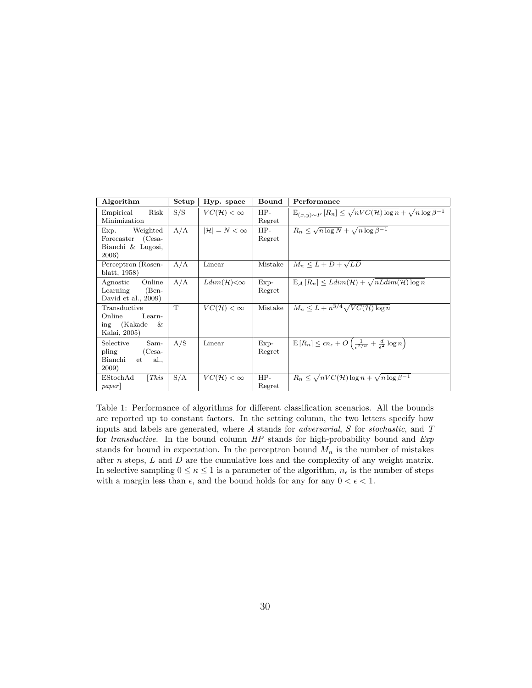| Algorithm                                                                | Setup | Hyp. space                   | Bound            | Performance                                                                                                             |
|--------------------------------------------------------------------------|-------|------------------------------|------------------|-------------------------------------------------------------------------------------------------------------------------|
| Empirical<br>Risk<br>Minimization                                        | S/S   | $VC(H)<\infty$               | $HP-$<br>Regret  | $\mathbb{E}_{(x,y)\sim P}\left[R_n\right] \leq \sqrt{nVC(\mathcal{H})\log n} + \sqrt{n\log\beta^{-1}}$                  |
| Exp.<br>Weighted<br>Forecaster (Cesa-<br>Bianchi & Lugosi,<br>2006)      | A/A   | $ \mathcal{H}  = N < \infty$ | $HP-$<br>Regret  | $R_n \leq \sqrt{n \log N} + \sqrt{n \log \beta^{-1}}$                                                                   |
| Perceptron (Rosen-<br>blatt, 1958)                                       | A/A   | Linear                       | Mistake          | $M_n \leq L + D + \sqrt{LD}$                                                                                            |
| Online<br>Agnostic<br>Learning<br>$(Ben-$<br>David et al., $2009$ )      | A/A   | $Ldim(\mathcal{H})<\infty$   | $Exp-$<br>Regret | $\mathbb{E}_{\mathcal{A}}[R_n] \leq Ldim(\mathcal{H}) + \sqrt{nLdim(\mathcal{H})\log n}$                                |
| Transductive<br>Online<br>Learn-<br>(Kakade)<br>&<br>ing<br>Kalai, 2005) | T     | $VC(H)<\infty$               | Mistake          | $M_n \leq L + n^{3/4} \sqrt{VC(\mathcal{H}) \log n}$                                                                    |
| Selective<br>Sam-<br>pling<br>$(Cesa-$<br>Bianchi<br>et al.,<br>2009)    | A/S   | Linear                       | $Exp-$<br>Regret | $\mathbb{E}[R_n] \leq \epsilon n_{\epsilon} + O\left(\frac{1}{\epsilon^{2}/\kappa} + \frac{d}{\epsilon^2}\log n\right)$ |
| [This]<br>EStockAd<br>paper                                              | S/A   | $VC(H)<\infty$               | $HP-$<br>Regret  | $R_n \leq \sqrt{nVC(\mathcal{H})\log n} + \sqrt{n}\log \beta^{-1}$                                                      |

Table 1: Performance of algorithms for different classification scenarios. All the bounds are reported up to constant factors. In the setting column, the two letters specify how inputs and labels are generated, where A stands for adversarial, S for stochastic, and T for transductive. In the bound column HP stands for high-probability bound and Exp stands for bound in expectation. In the perceptron bound  $M_n$  is the number of mistakes after  $n$  steps,  $L$  and  $D$  are the cumulative loss and the complexity of any weight matrix. In selective sampling  $0 \leq \kappa \leq 1$  is a parameter of the algorithm,  $n_{\epsilon}$  is the number of steps with a margin less than  $\epsilon$ , and the bound holds for any for any  $0 < \epsilon < 1$ .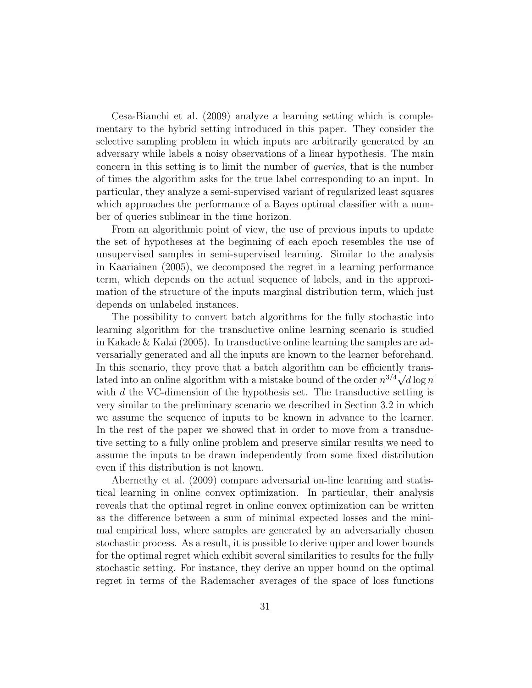Cesa-Bianchi et al. (2009) analyze a learning setting which is complementary to the hybrid setting introduced in this paper. They consider the selective sampling problem in which inputs are arbitrarily generated by an adversary while labels a noisy observations of a linear hypothesis. The main concern in this setting is to limit the number of queries, that is the number of times the algorithm asks for the true label corresponding to an input. In particular, they analyze a semi-supervised variant of regularized least squares which approaches the performance of a Bayes optimal classifier with a number of queries sublinear in the time horizon.

From an algorithmic point of view, the use of previous inputs to update the set of hypotheses at the beginning of each epoch resembles the use of unsupervised samples in semi-supervised learning. Similar to the analysis in Kaariainen (2005), we decomposed the regret in a learning performance term, which depends on the actual sequence of labels, and in the approximation of the structure of the inputs marginal distribution term, which just depends on unlabeled instances.

The possibility to convert batch algorithms for the fully stochastic into learning algorithm for the transductive online learning scenario is studied in Kakade & Kalai (2005). In transductive online learning the samples are adversarially generated and all the inputs are known to the learner beforehand. In this scenario, they prove that a batch algorithm can be efficiently translated into an online algorithm with a mistake bound of the order  $n^{3/4}\sqrt{d\log n}$ with  $d$  the VC-dimension of the hypothesis set. The transductive setting is very similar to the preliminary scenario we described in Section 3.2 in which we assume the sequence of inputs to be known in advance to the learner. In the rest of the paper we showed that in order to move from a transductive setting to a fully online problem and preserve similar results we need to assume the inputs to be drawn independently from some fixed distribution even if this distribution is not known.

Abernethy et al. (2009) compare adversarial on-line learning and statistical learning in online convex optimization. In particular, their analysis reveals that the optimal regret in online convex optimization can be written as the difference between a sum of minimal expected losses and the minimal empirical loss, where samples are generated by an adversarially chosen stochastic process. As a result, it is possible to derive upper and lower bounds for the optimal regret which exhibit several similarities to results for the fully stochastic setting. For instance, they derive an upper bound on the optimal regret in terms of the Rademacher averages of the space of loss functions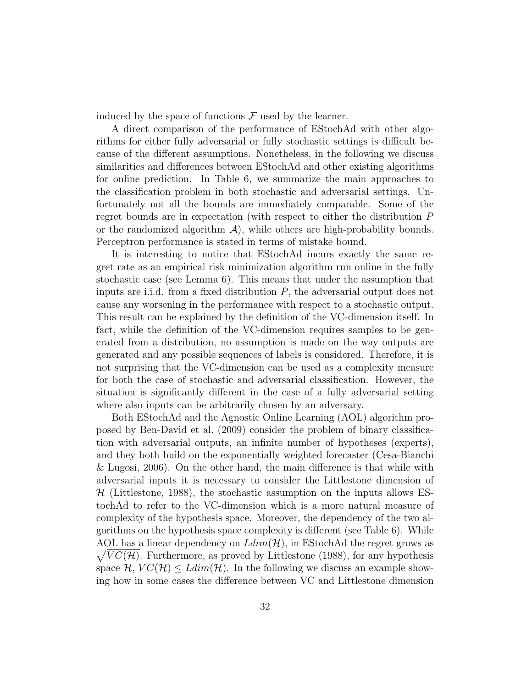induced by the space of functions  $\mathcal F$  used by the learner.

A direct comparison of the performance of EStochAd with other algorithms for either fully adversarial or fully stochastic settings is difficult because of the different assumptions. Nonetheless, in the following we discuss similarities and differences between EStochAd and other existing algorithms for online prediction. In Table 6, we summarize the main approaches to the classification problem in both stochastic and adversarial settings. Unfortunately not all the bounds are immediately comparable. Some of the regret bounds are in expectation (with respect to either the distribution P or the randomized algorithm  $\mathcal{A}$ , while others are high-probability bounds. Perceptron performance is stated in terms of mistake bound.

It is interesting to notice that EStochAd incurs exactly the same regret rate as an empirical risk minimization algorithm run online in the fully stochastic case (see Lemma 6). This means that under the assumption that inputs are i.i.d. from a fixed distribution  $P$ , the adversarial output does not cause any worsening in the performance with respect to a stochastic output. This result can be explained by the definition of the VC-dimension itself. In fact, while the definition of the VC-dimension requires samples to be generated from a distribution, no assumption is made on the way outputs are generated and any possible sequences of labels is considered. Therefore, it is not surprising that the VC-dimension can be used as a complexity measure for both the case of stochastic and adversarial classification. However, the situation is significantly different in the case of a fully adversarial setting where also inputs can be arbitrarily chosen by an adversary.

Both EStochAd and the Agnostic Online Learning (AOL) algorithm proposed by Ben-David et al. (2009) consider the problem of binary classification with adversarial outputs, an infinite number of hypotheses (experts), and they both build on the exponentially weighted forecaster (Cesa-Bianchi & Lugosi, 2006). On the other hand, the main difference is that while with adversarial inputs it is necessary to consider the Littlestone dimension of  $H$  (Littlestone, 1988), the stochastic assumption on the inputs allows EStochAd to refer to the VC-dimension which is a more natural measure of complexity of the hypothesis space. Moreover, the dependency of the two algorithms on the hypothesis space complexity is different (see Table 6). While AOL has a linear dependency on  $Ldim(\mathcal{H})$ , in EStochAd the regret grows as  $\sqrt{VC(\mathcal{H})}$ . Furthermore, as proved by Littlestone (1988), for any hypothesis space  $\mathcal{H}, VC(\mathcal{H}) \leq Ldim(\mathcal{H})$ . In the following we discuss an example showing how in some cases the difference between VC and Littlestone dimension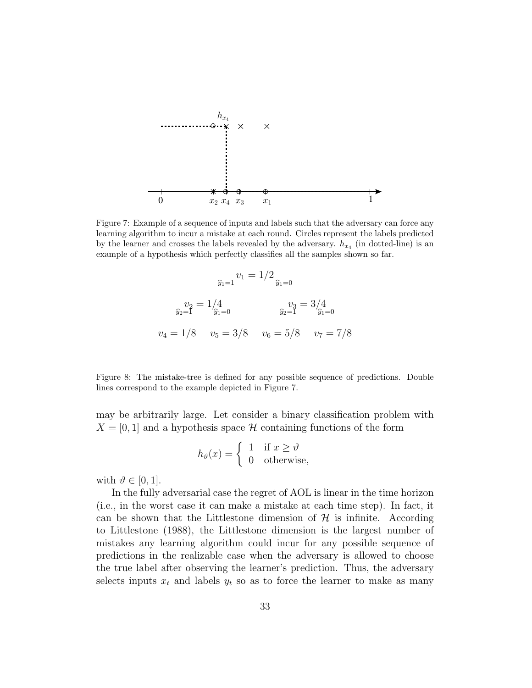

Figure 7: Example of a sequence of inputs and labels such that the adversary can force any learning algorithm to incur a mistake at each round. Circles represent the labels predicted by the learner and crosses the labels revealed by the adversary.  $h_{x_4}$  (in dotted-line) is an example of a hypothesis which perfectly classifies all the samples shown so far.

$$
\hat{y}_1 = 1/2 \quad \hat{y}_1 = 0
$$
\n
$$
\hat{y}_2 = 1/4 \quad \hat{y}_2 = 3/4 \quad \hat{y}_2 = 1/8 \quad v_5 = 3/8 \quad v_6 = 5/8 \quad v_7 = 7/8
$$

Figure 8: The mistake-tree is defined for any possible sequence of predictions. Double lines correspond to the example depicted in Figure 7.

may be arbitrarily large. Let consider a binary classification problem with  $X = [0, 1]$  and a hypothesis space H containing functions of the form

$$
h_{\vartheta}(x) = \begin{cases} 1 & \text{if } x \ge \vartheta \\ 0 & \text{otherwise,} \end{cases}
$$

with  $\vartheta \in [0, 1]$ .

In the fully adversarial case the regret of AOL is linear in the time horizon (i.e., in the worst case it can make a mistake at each time step). In fact, it can be shown that the Littlestone dimension of  $H$  is infinite. According to Littlestone (1988), the Littlestone dimension is the largest number of mistakes any learning algorithm could incur for any possible sequence of predictions in the realizable case when the adversary is allowed to choose the true label after observing the learner's prediction. Thus, the adversary selects inputs  $x_t$  and labels  $y_t$  so as to force the learner to make as many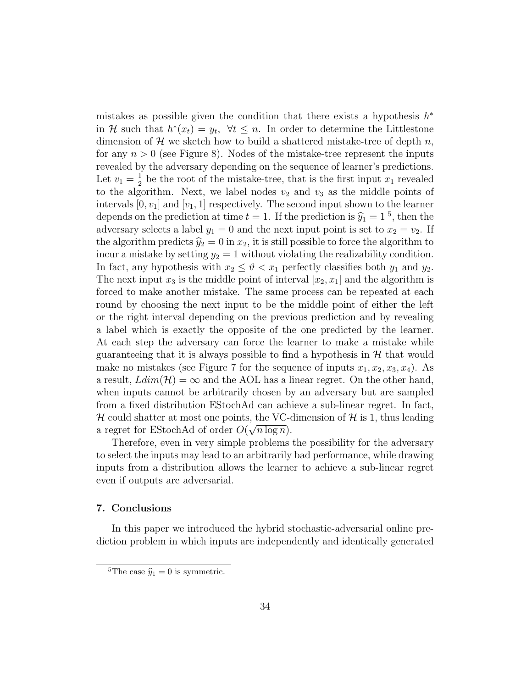mistakes as possible given the condition that there exists a hypothesis  $h^*$ in H such that  $h^*(x_t) = y_t$ ,  $\forall t \leq n$ . In order to determine the Littlestone dimension of H we sketch how to build a shattered mistake-tree of depth  $n$ , for any  $n > 0$  (see Figure 8). Nodes of the mistake-tree represent the inputs revealed by the adversary depending on the sequence of learner's predictions. Let  $v_1 = \frac{1}{2}$  $\frac{1}{2}$  be the root of the mistake-tree, that is the first input  $x_1$  revealed to the algorithm. Next, we label nodes  $v_2$  and  $v_3$  as the middle points of intervals  $[0, v_1]$  and  $[v_1, 1]$  respectively. The second input shown to the learner depends on the prediction at time  $t = 1$ . If the prediction is  $\hat{y}_1 = 1^5$ , then the adversary selects a label  $y_1 = 0$  and the next input point is set to  $x_2 = v_2$ . If the algorithm predicts  $\hat{y}_2 = 0$  in  $x_2$ , it is still possible to force the algorithm to incur a mistake by setting  $y_2 = 1$  without violating the realizability condition. In fact, any hypothesis with  $x_2 \leq \vartheta < x_1$  perfectly classifies both  $y_1$  and  $y_2$ . The next input  $x_3$  is the middle point of interval  $[x_2, x_1]$  and the algorithm is forced to make another mistake. The same process can be repeated at each round by choosing the next input to be the middle point of either the left or the right interval depending on the previous prediction and by revealing a label which is exactly the opposite of the one predicted by the learner. At each step the adversary can force the learner to make a mistake while guaranteeing that it is always possible to find a hypothesis in  $H$  that would make no mistakes (see Figure 7 for the sequence of inputs  $x_1, x_2, x_3, x_4$ ). As a result,  $Ldim(\mathcal{H}) = \infty$  and the AOL has a linear regret. On the other hand, when inputs cannot be arbitrarily chosen by an adversary but are sampled from a fixed distribution EStochAd can achieve a sub-linear regret. In fact, H could shatter at most one points, the VC-dimension of H is 1, thus leading a regret for EStochAd of order  $O(\sqrt{n \log n})$ .

Therefore, even in very simple problems the possibility for the adversary to select the inputs may lead to an arbitrarily bad performance, while drawing inputs from a distribution allows the learner to achieve a sub-linear regret even if outputs are adversarial.

### 7. Conclusions

In this paper we introduced the hybrid stochastic-adversarial online prediction problem in which inputs are independently and identically generated

<sup>&</sup>lt;sup>5</sup>The case  $\hat{y}_1 = 0$  is symmetric.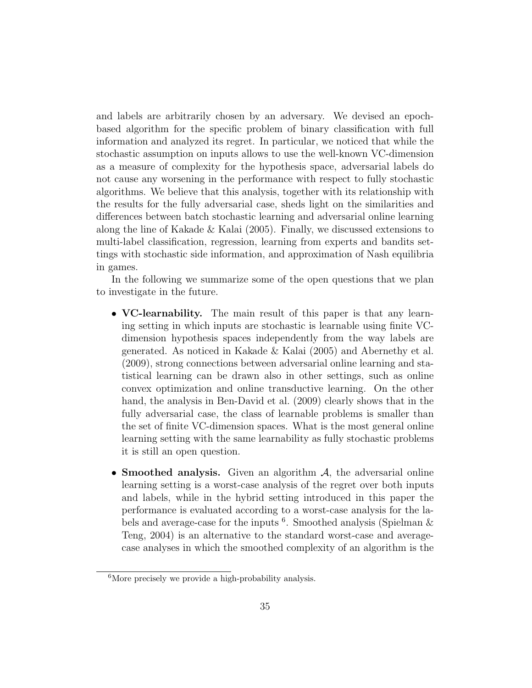and labels are arbitrarily chosen by an adversary. We devised an epochbased algorithm for the specific problem of binary classification with full information and analyzed its regret. In particular, we noticed that while the stochastic assumption on inputs allows to use the well-known VC-dimension as a measure of complexity for the hypothesis space, adversarial labels do not cause any worsening in the performance with respect to fully stochastic algorithms. We believe that this analysis, together with its relationship with the results for the fully adversarial case, sheds light on the similarities and differences between batch stochastic learning and adversarial online learning along the line of Kakade & Kalai (2005). Finally, we discussed extensions to multi-label classification, regression, learning from experts and bandits settings with stochastic side information, and approximation of Nash equilibria in games.

In the following we summarize some of the open questions that we plan to investigate in the future.

- VC-learnability. The main result of this paper is that any learning setting in which inputs are stochastic is learnable using finite VCdimension hypothesis spaces independently from the way labels are generated. As noticed in Kakade & Kalai (2005) and Abernethy et al. (2009), strong connections between adversarial online learning and statistical learning can be drawn also in other settings, such as online convex optimization and online transductive learning. On the other hand, the analysis in Ben-David et al. (2009) clearly shows that in the fully adversarial case, the class of learnable problems is smaller than the set of finite VC-dimension spaces. What is the most general online learning setting with the same learnability as fully stochastic problems it is still an open question.
- Smoothed analysis. Given an algorithm  $A$ , the adversarial online learning setting is a worst-case analysis of the regret over both inputs and labels, while in the hybrid setting introduced in this paper the performance is evaluated according to a worst-case analysis for the labels and average-case for the inputs<sup>6</sup>. Smoothed analysis (Spielman & Teng, 2004) is an alternative to the standard worst-case and averagecase analyses in which the smoothed complexity of an algorithm is the

 ${}^{6}$ More precisely we provide a high-probability analysis.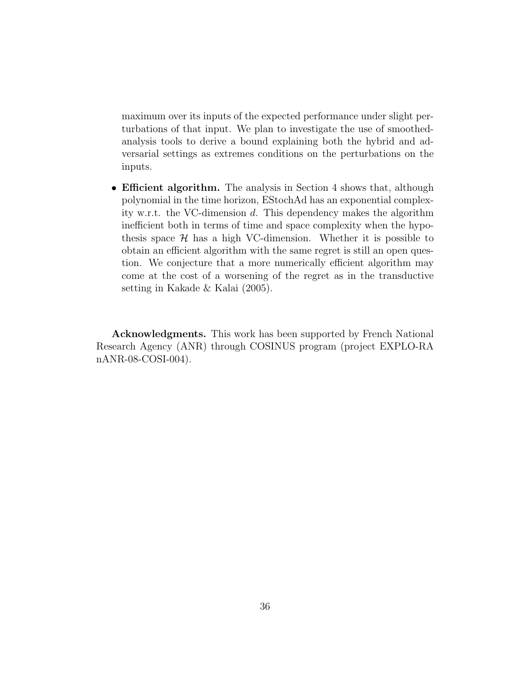maximum over its inputs of the expected performance under slight perturbations of that input. We plan to investigate the use of smoothedanalysis tools to derive a bound explaining both the hybrid and adversarial settings as extremes conditions on the perturbations on the inputs.

• Efficient algorithm. The analysis in Section 4 shows that, although polynomial in the time horizon, EStochAd has an exponential complexity w.r.t. the VC-dimension d. This dependency makes the algorithm inefficient both in terms of time and space complexity when the hypothesis space  $H$  has a high VC-dimension. Whether it is possible to obtain an efficient algorithm with the same regret is still an open question. We conjecture that a more numerically efficient algorithm may come at the cost of a worsening of the regret as in the transductive setting in Kakade & Kalai (2005).

Acknowledgments. This work has been supported by French National Research Agency (ANR) through COSINUS program (project EXPLO-RA nANR-08-COSI-004).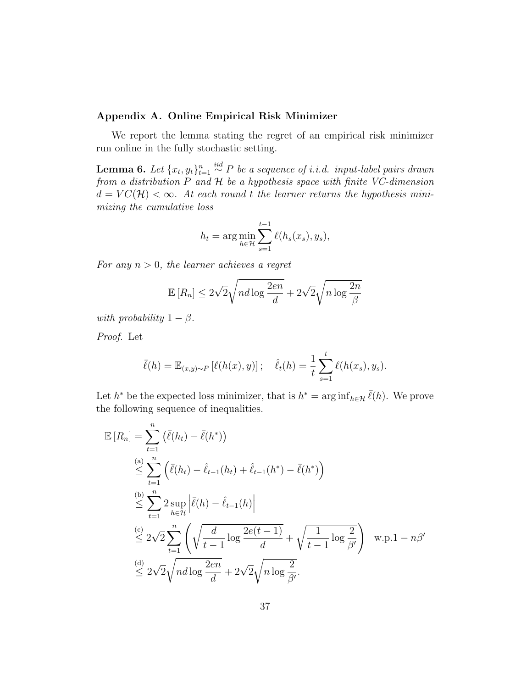#### Appendix A. Online Empirical Risk Minimizer

We report the lemma stating the regret of an empirical risk minimizer run online in the fully stochastic setting.

**Lemma 6.** Let  $\{x_t, y_t\}_{t=1}^n \stackrel{iid}{\sim} P$  be a sequence of i.i.d. input-label pairs drawn from a distribution P and H be a hypothesis space with finite VC-dimension  $d = VC(\mathcal{H}) < \infty$ . At each round t the learner returns the hypothesis minimizing the cumulative loss

$$
h_t = \arg\min_{h \in \mathcal{H}} \sum_{s=1}^{t-1} \ell(h_s(x_s), y_s),
$$

For any  $n > 0$ , the learner achieves a regret

$$
\mathbb{E}\left[R_n\right] \le 2\sqrt{2}\sqrt{nd\log\frac{2en}{d}} + 2\sqrt{2}\sqrt{n\log\frac{2n}{\beta}}
$$

with probability  $1 - \beta$ .

Proof. Let

$$
\bar{\ell}(h) = \mathbb{E}_{(x,y)\sim P} [\ell(h(x), y)]; \quad \hat{\ell}_t(h) = \frac{1}{t} \sum_{s=1}^t \ell(h(x_s), y_s).
$$

Let  $h^*$  be the expected loss minimizer, that is  $h^* = \arg\inf_{h \in \mathcal{H}} \overline{\ell}(h)$ . We prove the following sequence of inequalities.

$$
\mathbb{E}[R_n] = \sum_{t=1}^n (\bar{\ell}(h_t) - \bar{\ell}(h^*))
$$
\n
$$
\leq \sum_{t=1}^{(a)} (\bar{\ell}(h_t) - \hat{\ell}_{t-1}(h_t) + \hat{\ell}_{t-1}(h^*) - \bar{\ell}(h^*))
$$
\n
$$
\leq \sum_{t=1}^{(b)} 2 \sup_{h \in \mathcal{H}} |\bar{\ell}(h) - \hat{\ell}_{t-1}(h)|
$$
\n
$$
\leq 2\sqrt{2} \sum_{t=1}^n \left( \sqrt{\frac{d}{t-1} \log \frac{2e(t-1)}{d}} + \sqrt{\frac{1}{t-1} \log \frac{2}{\beta'}} \right) \text{ w.p.}1 - n\beta'
$$
\n
$$
\leq 2\sqrt{2} \sqrt{n} \log \frac{2en}{d} + 2\sqrt{2} \sqrt{n} \log \frac{2}{\beta'}.
$$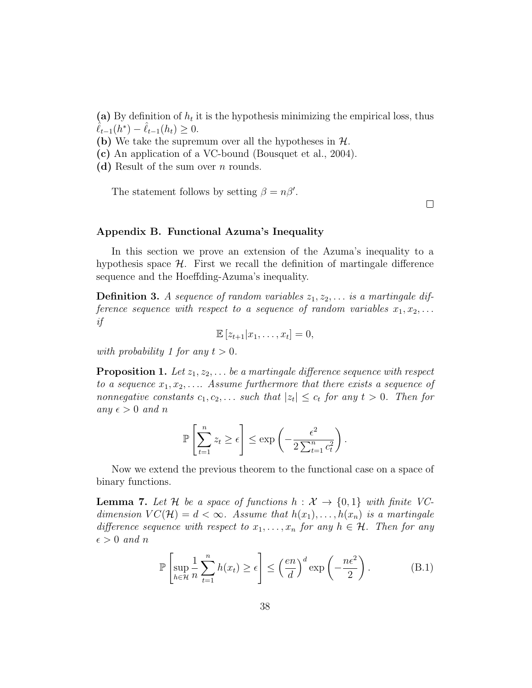(a) By definition of  $h_t$  it is the hypothesis minimizing the empirical loss, thus  $\hat{\ell}_{t-1}(h^*) - \hat{\ell}_{t-1}(h_t) \geq 0.$ 

(b) We take the supremum over all the hypotheses in  $H$ .

(c) An application of a VC-bound (Bousquet et al., 2004).

(d) Result of the sum over  $n$  rounds.

The statement follows by setting  $\beta = n\beta'$ .

 $\Box$ 

### Appendix B. Functional Azuma's Inequality

In this section we prove an extension of the Azuma's inequality to a hypothesis space  $H$ . First we recall the definition of martingale difference sequence and the Hoeffding-Azuma's inequality.

**Definition 3.** A sequence of random variables  $z_1, z_2, \ldots$  is a martingale difference sequence with respect to a sequence of random variables  $x_1, x_2, \ldots$ if

 $\mathbb{E} [z_{t+1} | x_1, \ldots, x_t] = 0,$ 

with probability 1 for any  $t > 0$ .

**Proposition 1.** Let  $z_1, z_2, \ldots$  be a martingale difference sequence with respect to a sequence  $x_1, x_2, \ldots$  Assume furthermore that there exists a sequence of nonnegative constants  $c_1, c_2, \ldots$  such that  $|z_t| \leq c_t$  for any  $t > 0$ . Then for any  $\epsilon > 0$  and n

$$
\mathbb{P}\left[\sum_{t=1}^{n} z_t \geq \epsilon\right] \leq \exp\left(-\frac{\epsilon^2}{2\sum_{t=1}^{n} c_t^2}\right).
$$

Now we extend the previous theorem to the functional case on a space of binary functions.

**Lemma 7.** Let H be a space of functions  $h : \mathcal{X} \to \{0,1\}$  with finite VCdimension  $VC(\mathcal{H}) = d < \infty$ . Assume that  $h(x_1), \ldots, h(x_n)$  is a martingale difference sequence with respect to  $x_1, \ldots, x_n$  for any  $h \in \mathcal{H}$ . Then for any  $\epsilon > 0$  and n

$$
\mathbb{P}\left[\sup_{h\in\mathcal{H}}\frac{1}{n}\sum_{t=1}^{n}h(x_t)\geq\epsilon\right]\leq\left(\frac{en}{d}\right)^{d}\exp\left(-\frac{n\epsilon^2}{2}\right).
$$
 (B.1)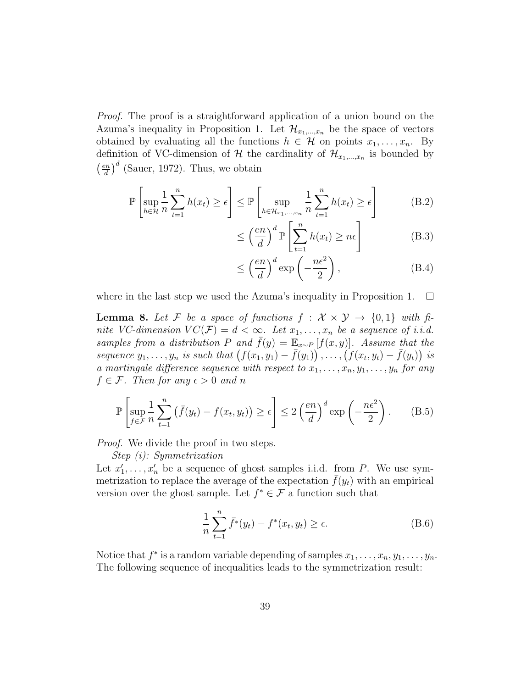Proof. The proof is a straightforward application of a union bound on the Azuma's inequality in Proposition 1. Let  $\mathcal{H}_{x_1,\dots,x_n}$  be the space of vectors obtained by evaluating all the functions  $h \in \mathcal{H}$  on points  $x_1, \ldots, x_n$ . By definition of VC-dimension of  $\mathcal H$  the cardinality of  $\mathcal H_{x_1,...,x_n}$  is bounded by  $\left(\frac{en}{1}\right)$  $\left(\frac{en}{d}\right)^d$  (Sauer, 1972). Thus, we obtain

$$
\mathbb{P}\left[\sup_{h\in\mathcal{H}}\frac{1}{n}\sum_{t=1}^{n}h(x_t)\geq\epsilon\right]\leq\mathbb{P}\left[\sup_{h\in\mathcal{H}_{x_1,\dots,x_n}}\frac{1}{n}\sum_{t=1}^{n}h(x_t)\geq\epsilon\right]
$$
(B.2)

$$
\leq \left(\frac{en}{d}\right)^d \mathbb{P}\left[\sum_{t=1}^n h(x_t) \geq n\epsilon\right]
$$
 (B.3)

$$
\leq \left(\frac{en}{d}\right)^d \exp\left(-\frac{n\epsilon^2}{2}\right),\tag{B.4}
$$

where in the last step we used the Azuma's inequality in Proposition 1.  $\Box$ 

**Lemma 8.** Let F be a space of functions  $f : \mathcal{X} \times \mathcal{Y} \rightarrow \{0,1\}$  with finite VC-dimension  $VC(\mathcal{F}) = d < \infty$ . Let  $x_1, \ldots, x_n$  be a sequence of i.i.d. samples from a distribution P and  $\bar{f}(y) = \mathbb{E}_{x \sim P} [f(x, y)]$ . Assume that the sequence  $y_1, \ldots, y_n$  is such that  $(f(x_1, y_1) - \bar{f}(y_1)), \ldots, (f(x_t, y_t) - \bar{f}(y_t))$  is a martingale difference sequence with respect to  $x_1, \ldots, x_n, y_1, \ldots, y_n$  for any  $f \in \mathcal{F}$ . Then for any  $\epsilon > 0$  and n

$$
\mathbb{P}\left[\sup_{f\in\mathcal{F}}\frac{1}{n}\sum_{t=1}^{n}\left(\bar{f}(y_t) - f(x_t, y_t)\right) \ge \epsilon\right] \le 2\left(\frac{en}{d}\right)^d \exp\left(-\frac{n\epsilon^2}{2}\right). \tag{B.5}
$$

Proof. We divide the proof in two steps.

Step (i): Symmetrization

Let  $x'_1, \ldots, x'_n$  be a sequence of ghost samples i.i.d. from P. We use symmetrization to replace the average of the expectation  $\bar{f}(y_t)$  with an empirical version over the ghost sample. Let  $f^* \in \mathcal{F}$  a function such that

$$
\frac{1}{n}\sum_{t=1}^{n} \bar{f}^*(y_t) - f^*(x_t, y_t) \ge \epsilon.
$$
 (B.6)

Notice that  $f^*$  is a random variable depending of samples  $x_1, \ldots, x_n, y_1, \ldots, y_n$ . The following sequence of inequalities leads to the symmetrization result: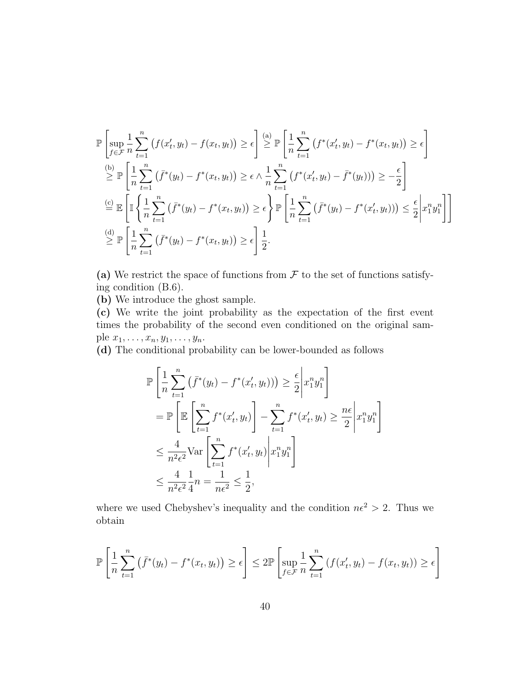$$
\mathbb{P}\left[\sup_{f\in\mathcal{F}}\frac{1}{n}\sum_{t=1}^{n}\left(f(x'_t, y_t) - f(x_t, y_t)\right) \geq \epsilon\right] \stackrel{(a)}{\geq} \mathbb{P}\left[\frac{1}{n}\sum_{t=1}^{n}\left(f^*(x'_t, y_t) - f^*(x_t, y_t)\right) \geq \epsilon\right]
$$
\n
$$
\stackrel{(b)}{\geq} \mathbb{P}\left[\frac{1}{n}\sum_{t=1}^{n}\left(\bar{f}^*(y_t) - f^*(x_t, y_t)\right) \geq \epsilon \wedge \frac{1}{n}\sum_{t=1}^{n}\left(f^*(x'_t, y_t) - \bar{f}^*(y_t)\right)\right) \geq -\frac{\epsilon}{2}\right]
$$
\n
$$
\stackrel{(c)}{=} \mathbb{E}\left[\mathbb{I}\left\{\frac{1}{n}\sum_{t=1}^{n}\left(\bar{f}^*(y_t) - f^*(x_t, y_t)\right) \geq \epsilon\right\} \mathbb{P}\left[\frac{1}{n}\sum_{t=1}^{n}\left(\bar{f}^*(y_t) - f^*(x'_t, y_t)\right)\right) \leq \frac{\epsilon}{2}\left|x_1^n y_1^n\right|\right]
$$
\n
$$
\stackrel{(d)}{\geq} \mathbb{P}\left[\frac{1}{n}\sum_{t=1}^{n}\left(\bar{f}^*(y_t) - f^*(x_t, y_t)\right) \geq \epsilon\right] \frac{1}{2}.
$$

(a) We restrict the space of functions from  $\mathcal F$  to the set of functions satisfying condition (B.6).

(b) We introduce the ghost sample.

(c) We write the joint probability as the expectation of the first event times the probability of the second even conditioned on the original sample  $x_1, \ldots, x_n, y_1, \ldots, y_n$ .

(d) The conditional probability can be lower-bounded as follows

$$
\mathbb{P}\left[\frac{1}{n}\sum_{t=1}^{n}\left(\bar{f}^*(y_t) - f^*(x'_t, y_t)\right)\right] \geq \frac{\epsilon}{2}\left|x_1^n y_1^n\right]
$$
\n
$$
= \mathbb{P}\left[\mathbb{E}\left[\sum_{t=1}^{n} f^*(x'_t, y_t)\right] - \sum_{t=1}^{n} f^*(x'_t, y_t) \geq \frac{n\epsilon}{2}\left|x_1^n y_1^n\right.\right]
$$
\n
$$
\leq \frac{4}{n^2 \epsilon^2} \text{Var}\left[\sum_{t=1}^{n} f^*(x'_t, y_t)\left|x_1^n y_1^n\right.\right]
$$
\n
$$
\leq \frac{4}{n^2 \epsilon^2} \frac{1}{4}n = \frac{1}{n\epsilon^2} \leq \frac{1}{2},
$$

where we used Chebyshev's inequality and the condition  $n\epsilon^2 > 2$ . Thus we obtain

$$
\mathbb{P}\left[\frac{1}{n}\sum_{t=1}^{n}\left(\bar{f}^*(y_t) - f^*(x_t, y_t)\right) \ge \epsilon\right] \le 2\mathbb{P}\left[\sup_{f \in \mathcal{F}} \frac{1}{n}\sum_{t=1}^{n}\left(f(x'_t, y_t) - f(x_t, y_t)\right) \ge \epsilon\right]
$$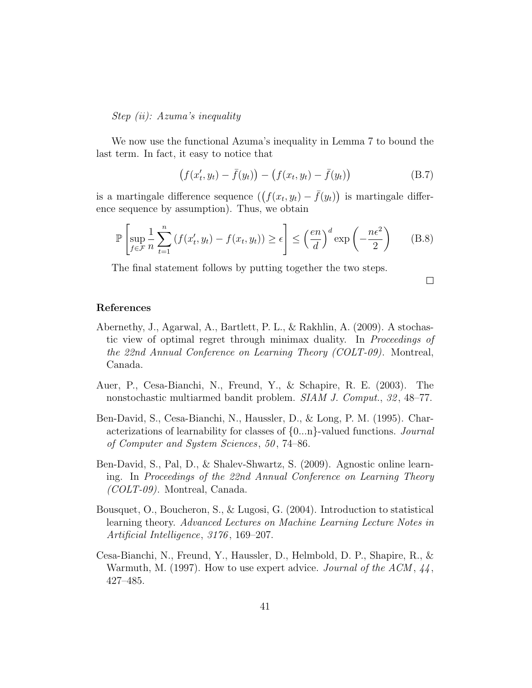Step (ii): Azuma's inequality

We now use the functional Azuma's inequality in Lemma 7 to bound the last term. In fact, it easy to notice that

$$
(f(x'_t, y_t) - \bar{f}(y_t)) - (f(x_t, y_t) - \bar{f}(y_t))
$$
 (B.7)

is a martingale difference sequence  $((f(x_t, y_t) - \bar{f}(y_t))$  is martingale difference sequence by assumption). Thus, we obtain

$$
\mathbb{P}\left[\sup_{f \in \mathcal{F}} \frac{1}{n} \sum_{t=1}^{n} \left(f(x'_t, y_t) - f(x_t, y_t)\right) \ge \epsilon\right] \le \left(\frac{en}{d}\right)^d \exp\left(-\frac{n\epsilon^2}{2}\right) \tag{B.8}
$$

The final statement follows by putting together the two steps.

 $\Box$ 

# References

- Abernethy, J., Agarwal, A., Bartlett, P. L., & Rakhlin, A. (2009). A stochastic view of optimal regret through minimax duality. In Proceedings of the 22nd Annual Conference on Learning Theory (COLT-09). Montreal, Canada.
- Auer, P., Cesa-Bianchi, N., Freund, Y., & Schapire, R. E. (2003). The nonstochastic multiarmed bandit problem. SIAM J. Comput., 32, 48–77.
- Ben-David, S., Cesa-Bianchi, N., Haussler, D., & Long, P. M. (1995). Characterizations of learnability for classes of {0...n}-valued functions. Journal of Computer and System Sciences, 50 , 74–86.
- Ben-David, S., Pal, D., & Shalev-Shwartz, S. (2009). Agnostic online learning. In Proceedings of the 22nd Annual Conference on Learning Theory (COLT-09). Montreal, Canada.
- Bousquet, O., Boucheron, S., & Lugosi, G. (2004). Introduction to statistical learning theory. Advanced Lectures on Machine Learning Lecture Notes in Artificial Intelligence, 3176 , 169–207.
- Cesa-Bianchi, N., Freund, Y., Haussler, D., Helmbold, D. P., Shapire, R., & Warmuth, M. (1997). How to use expert advice. Journal of the  $ACM$ ,  $44$ , 427–485.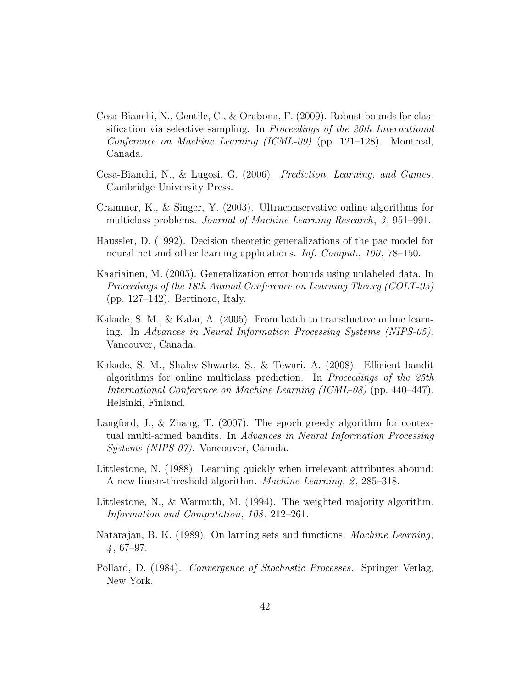- Cesa-Bianchi, N., Gentile, C., & Orabona, F. (2009). Robust bounds for classification via selective sampling. In *Proceedings of the 26th International* Conference on Machine Learning (ICML-09) (pp. 121–128). Montreal, Canada.
- Cesa-Bianchi, N., & Lugosi, G. (2006). Prediction, Learning, and Games. Cambridge University Press.
- Crammer, K., & Singer, Y. (2003). Ultraconservative online algorithms for multiclass problems. *Journal of Machine Learning Research*, 3, 951–991.
- Haussler, D. (1992). Decision theoretic generalizations of the pac model for neural net and other learning applications. Inf. Comput., 100, 78–150.
- Kaariainen, M. (2005). Generalization error bounds using unlabeled data. In Proceedings of the 18th Annual Conference on Learning Theory (COLT-05) (pp. 127–142). Bertinoro, Italy.
- Kakade, S. M., & Kalai, A. (2005). From batch to transductive online learning. In Advances in Neural Information Processing Systems (NIPS-05). Vancouver, Canada.
- Kakade, S. M., Shalev-Shwartz, S., & Tewari, A. (2008). Efficient bandit algorithms for online multiclass prediction. In Proceedings of the 25th International Conference on Machine Learning (ICML-08) (pp. 440–447). Helsinki, Finland.
- Langford, J., & Zhang, T. (2007). The epoch greedy algorithm for contextual multi-armed bandits. In Advances in Neural Information Processing Systems (NIPS-07). Vancouver, Canada.
- Littlestone, N. (1988). Learning quickly when irrelevant attributes abound: A new linear-threshold algorithm. *Machine Learning*, 2, 285–318.
- Littlestone, N., & Warmuth, M. (1994). The weighted majority algorithm. Information and Computation, 108, 212–261.
- Natarajan, B. K. (1989). On larning sets and functions. Machine Learning,  $4,67-97.$
- Pollard, D. (1984). Convergence of Stochastic Processes. Springer Verlag, New York.